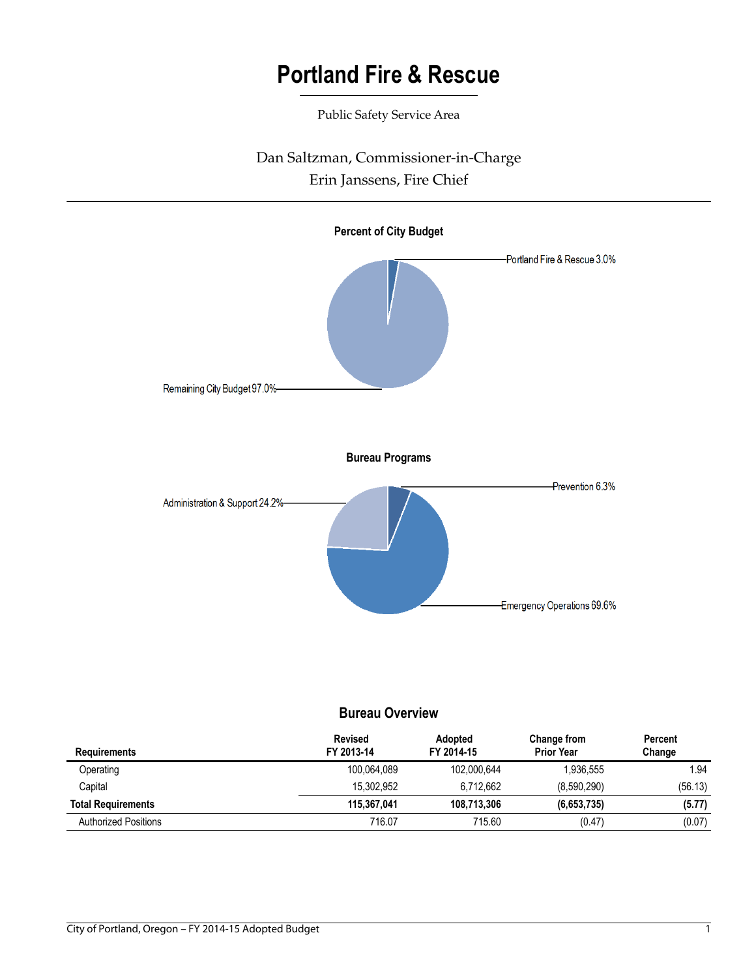Public Safety Service Area

# Dan Saltzman, Commissioner-in-Charge Erin Janssens, Fire Chief



### **Bureau Overview**

| <b>Requirements</b>         | <b>Revised</b><br>FY 2013-14 | <b>Adopted</b><br>FY 2014-15 | Change from<br><b>Prior Year</b> | Percent<br>Change |
|-----------------------------|------------------------------|------------------------------|----------------------------------|-------------------|
| Operating                   | 100.064.089                  | 102.000.644                  | 1.936.555                        | 1.94              |
| Capital                     | 15.302.952                   | 6.712.662                    | (8,590,290)                      | (56.13)           |
| <b>Total Requirements</b>   | 115,367,041                  | 108.713.306                  | (6,653,735)                      | (5.77)            |
| <b>Authorized Positions</b> | 716.07                       | 715.60                       | (0.47)                           | (0.07)            |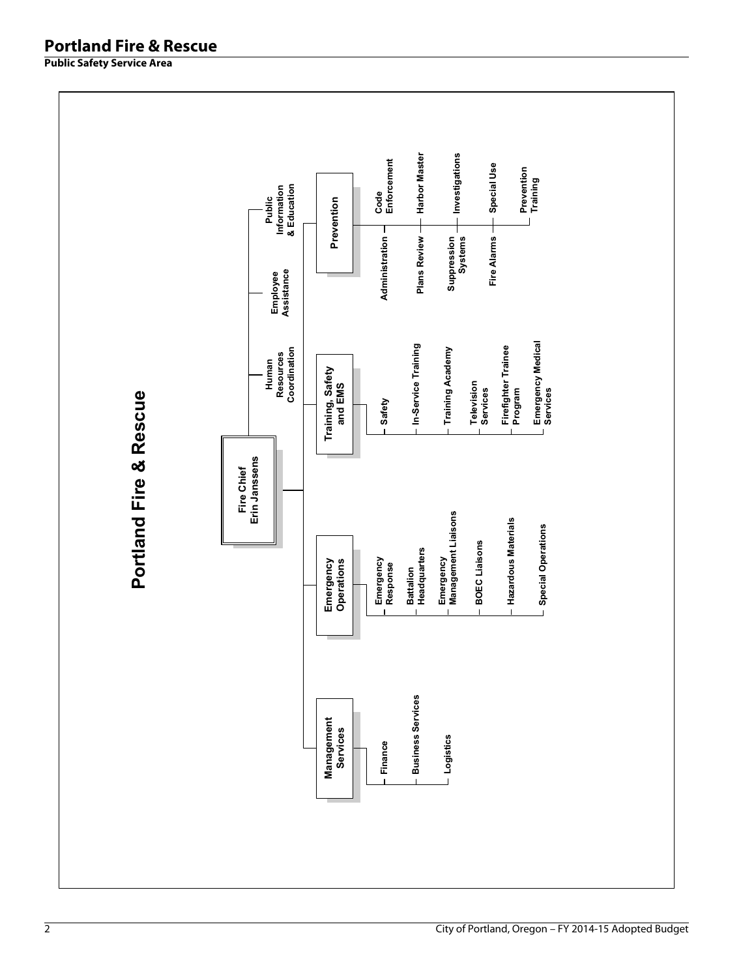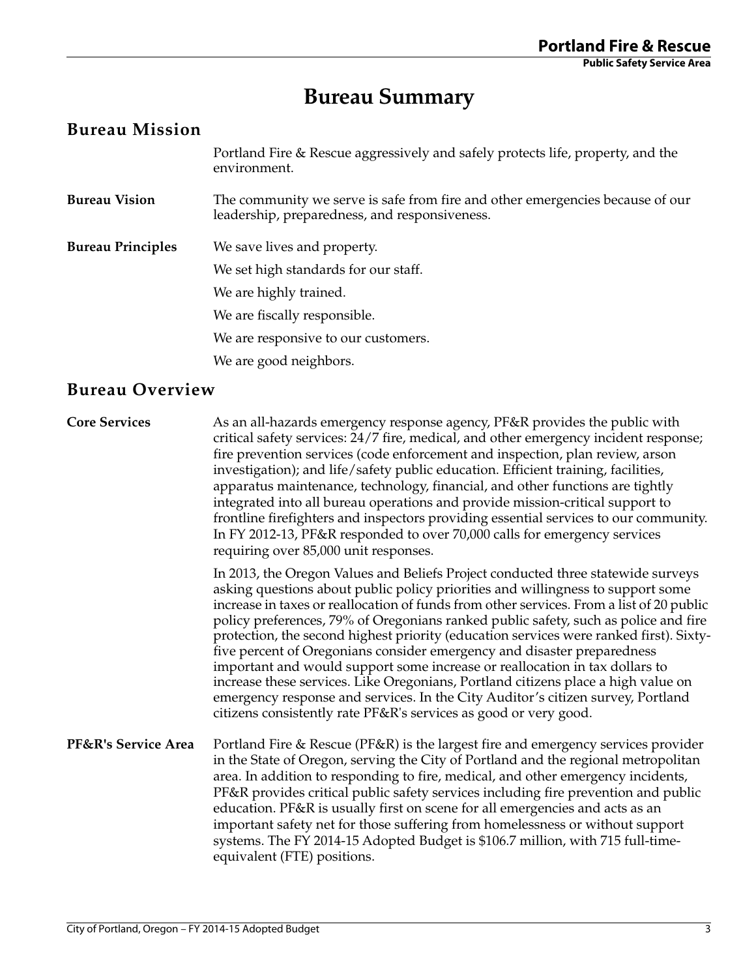# **Bureau Summary**

### **Bureau Mission**

Portland Fire & Rescue aggressively and safely protects life, property, and the environment.

- **Bureau Vision** The community we serve is safe from fire and other emergencies because of our leadership, preparedness, and responsiveness.
- **Bureau Principles** We save lives and property. We set high standards for our staff. We are highly trained. We are fiscally responsible. We are responsive to our customers. We are good neighbors.

## **Bureau Overview**

**Core Services** As an all-hazards emergency response agency, PF&R provides the public with critical safety services: 24/7 fire, medical, and other emergency incident response; fire prevention services (code enforcement and inspection, plan review, arson investigation); and life/safety public education. Efficient training, facilities, apparatus maintenance, technology, financial, and other functions are tightly integrated into all bureau operations and provide mission-critical support to frontline firefighters and inspectors providing essential services to our community. In FY 2012-13, PF&R responded to over 70,000 calls for emergency services requiring over 85,000 unit responses.

> In 2013, the Oregon Values and Beliefs Project conducted three statewide surveys asking questions about public policy priorities and willingness to support some increase in taxes or reallocation of funds from other services. From a list of 20 public policy preferences, 79% of Oregonians ranked public safety, such as police and fire protection, the second highest priority (education services were ranked first). Sixtyfive percent of Oregonians consider emergency and disaster preparedness important and would support some increase or reallocation in tax dollars to increase these services. Like Oregonians, Portland citizens place a high value on emergency response and services. In the City Auditor's citizen survey, Portland citizens consistently rate PF&R's services as good or very good.

**PF&R's Service Area** Portland Fire & Rescue (PF&R) is the largest fire and emergency services provider in the State of Oregon, serving the City of Portland and the regional metropolitan area. In addition to responding to fire, medical, and other emergency incidents, PF&R provides critical public safety services including fire prevention and public education. PF&R is usually first on scene for all emergencies and acts as an important safety net for those suffering from homelessness or without support systems. The FY 2014-15 Adopted Budget is \$106.7 million, with 715 full-timeequivalent (FTE) positions.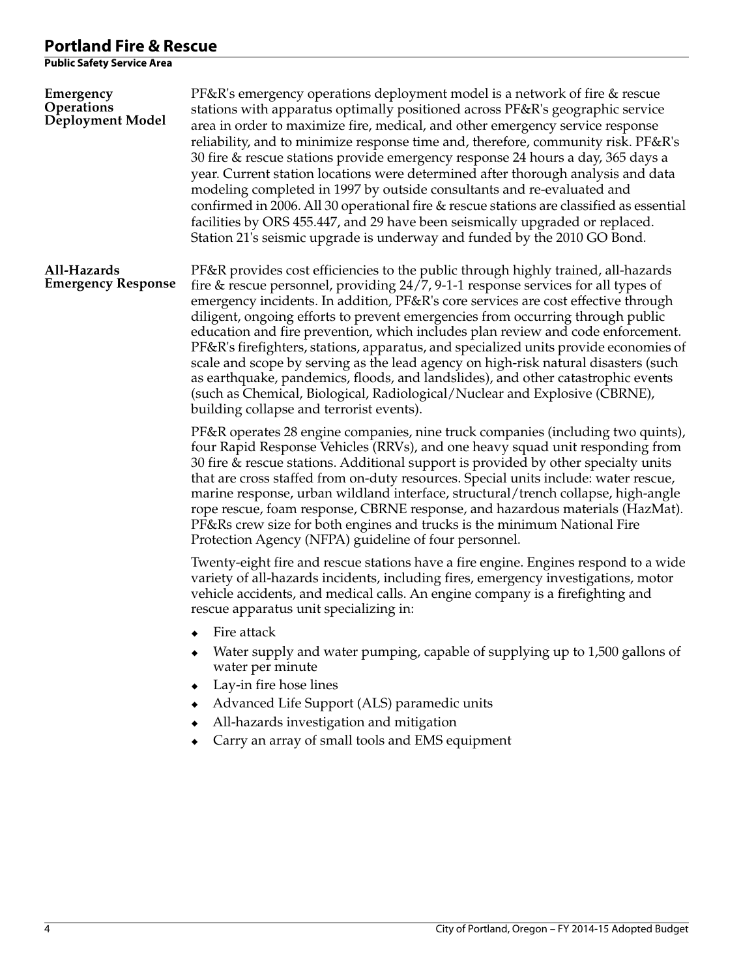| PF&R's emergency operations deployment model is a network of fire & rescue<br>stations with apparatus optimally positioned across PF&R's geographic service<br>area in order to maximize fire, medical, and other emergency service response<br>reliability, and to minimize response time and, therefore, community risk. PF&R's<br>30 fire & rescue stations provide emergency response 24 hours a day, 365 days a<br>year. Current station locations were determined after thorough analysis and data<br>modeling completed in 1997 by outside consultants and re-evaluated and<br>confirmed in 2006. All 30 operational fire & rescue stations are classified as essential<br>facilities by ORS 455.447, and 29 have been seismically upgraded or replaced.<br>Station 21's seismic upgrade is underway and funded by the 2010 GO Bond. |
|---------------------------------------------------------------------------------------------------------------------------------------------------------------------------------------------------------------------------------------------------------------------------------------------------------------------------------------------------------------------------------------------------------------------------------------------------------------------------------------------------------------------------------------------------------------------------------------------------------------------------------------------------------------------------------------------------------------------------------------------------------------------------------------------------------------------------------------------|
| PF&R provides cost efficiencies to the public through highly trained, all-hazards<br>fire $&$ rescue personnel, providing $24/7$ , 9-1-1 response services for all types of<br>emergency incidents. In addition, PF&R's core services are cost effective through<br>diligent, ongoing efforts to prevent emergencies from occurring through public<br>education and fire prevention, which includes plan review and code enforcement.<br>PF&R's firefighters, stations, apparatus, and specialized units provide economies of<br>scale and scope by serving as the lead agency on high-risk natural disasters (such<br>as earthquake, pandemics, floods, and landslides), and other catastrophic events<br>(such as Chemical, Biological, Radiological/Nuclear and Explosive (CBRNE),<br>building collapse and terrorist events).           |
| PF&R operates 28 engine companies, nine truck companies (including two quints),<br>four Rapid Response Vehicles (RRVs), and one heavy squad unit responding from<br>30 fire & rescue stations. Additional support is provided by other specialty units<br>that are cross staffed from on-duty resources. Special units include: water rescue,<br>marine response, urban wildland interface, structural/trench collapse, high-angle<br>rope rescue, foam response, CBRNE response, and hazardous materials (HazMat).<br>PF&Rs crew size for both engines and trucks is the minimum National Fire<br>Protection Agency (NFPA) guideline of four personnel.                                                                                                                                                                                    |
| Twenty-eight fire and rescue stations have a fire engine. Engines respond to a wide<br>variety of all-hazards incidents, including fires, emergency investigations, motor<br>vehicle accidents, and medical calls. An engine company is a firefighting and<br>rescue apparatus unit specializing in:<br>$\bullet$ Fire attack<br>Water supply and water pumping, capable of supplying up to 1,500 gallons of<br>water per minute<br>Lay-in fire hose lines<br>Advanced Life Support (ALS) paramedic units<br>All-hazards investigation and mitigation<br>Carry an array of small tools and EMS equipment                                                                                                                                                                                                                                    |
|                                                                                                                                                                                                                                                                                                                                                                                                                                                                                                                                                                                                                                                                                                                                                                                                                                             |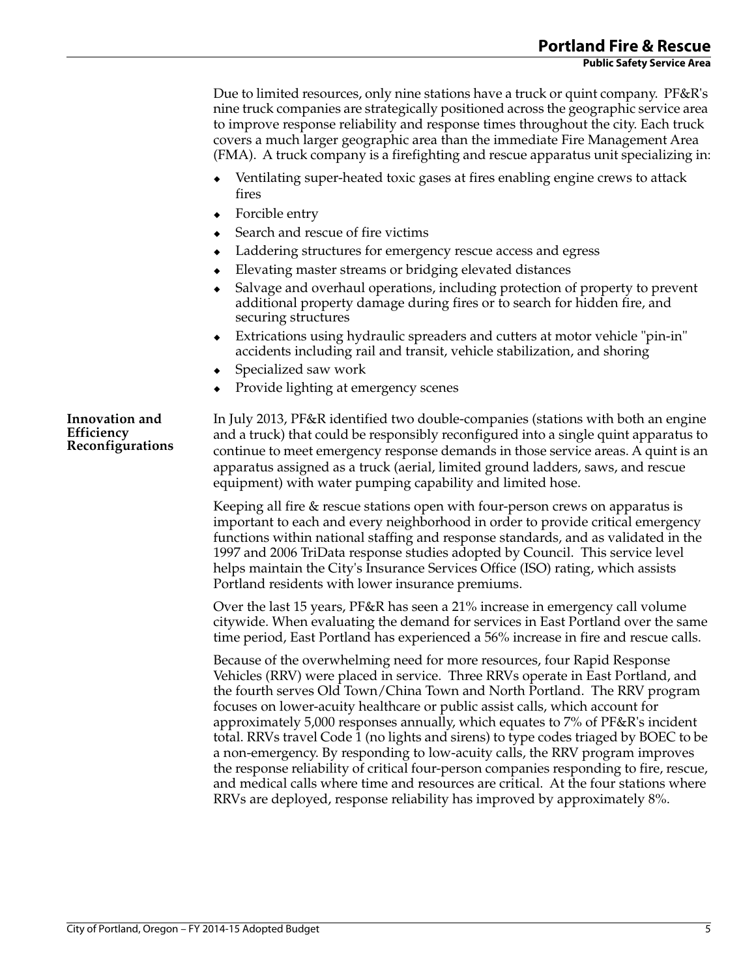Due to limited resources, only nine stations have a truck or quint company. PF&R's nine truck companies are strategically positioned across the geographic service area to improve response reliability and response times throughout the city. Each truck covers a much larger geographic area than the immediate Fire Management Area (FMA). A truck company is a firefighting and rescue apparatus unit specializing in:

- Ventilating super-heated toxic gases at fires enabling engine crews to attack fires
- Forcible entry
- Search and rescue of fire victims
- Laddering structures for emergency rescue access and egress
- Elevating master streams or bridging elevated distances
- Salvage and overhaul operations, including protection of property to prevent additional property damage during fires or to search for hidden fire, and securing structures
- Extrications using hydraulic spreaders and cutters at motor vehicle "pin-in" accidents including rail and transit, vehicle stabilization, and shoring
- Specialized saw work
- Provide lighting at emergency scenes

**Innovation and Efficiency Reconfigurations** In July 2013, PF&R identified two double-companies (stations with both an engine and a truck) that could be responsibly reconfigured into a single quint apparatus to continue to meet emergency response demands in those service areas. A quint is an apparatus assigned as a truck (aerial, limited ground ladders, saws, and rescue equipment) with water pumping capability and limited hose.

Keeping all fire & rescue stations open with four-person crews on apparatus is important to each and every neighborhood in order to provide critical emergency functions within national staffing and response standards, and as validated in the 1997 and 2006 TriData response studies adopted by Council. This service level helps maintain the City's Insurance Services Office (ISO) rating, which assists Portland residents with lower insurance premiums.

Over the last 15 years, PF&R has seen a 21% increase in emergency call volume citywide. When evaluating the demand for services in East Portland over the same time period, East Portland has experienced a 56% increase in fire and rescue calls.

Because of the overwhelming need for more resources, four Rapid Response Vehicles (RRV) were placed in service. Three RRVs operate in East Portland, and the fourth serves Old Town/China Town and North Portland. The RRV program focuses on lower-acuity healthcare or public assist calls, which account for approximately 5,000 responses annually, which equates to 7% of PF&R's incident total. RRVs travel Code 1 (no lights and sirens) to type codes triaged by BOEC to be a non-emergency. By responding to low-acuity calls, the RRV program improves the response reliability of critical four-person companies responding to fire, rescue, and medical calls where time and resources are critical. At the four stations where RRVs are deployed, response reliability has improved by approximately 8%.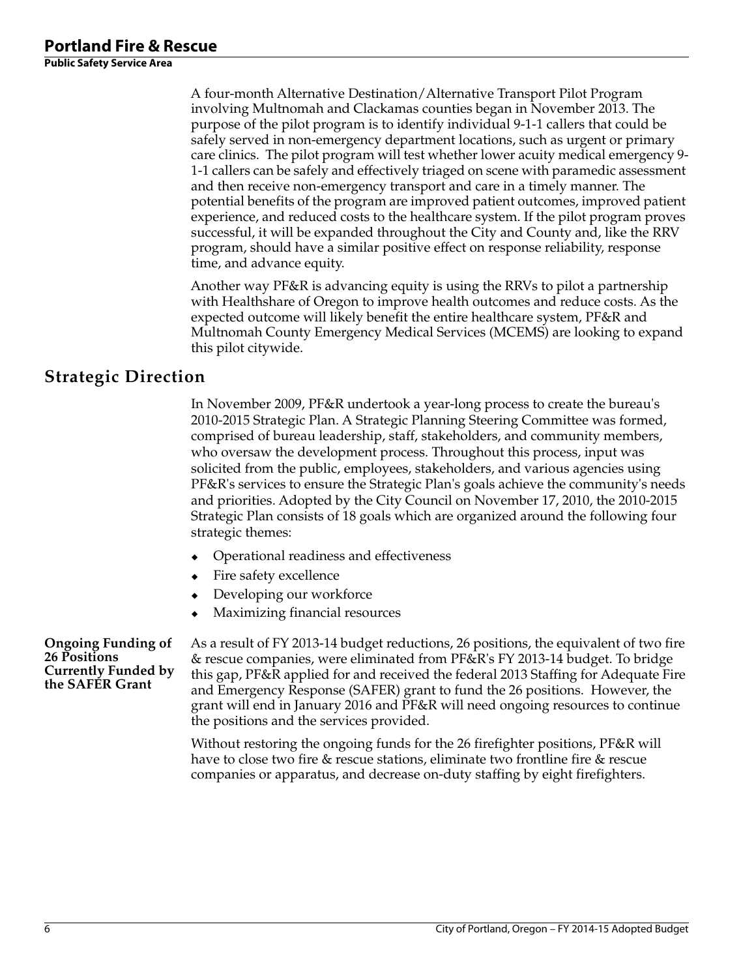A four-month Alternative Destination/Alternative Transport Pilot Program involving Multnomah and Clackamas counties began in November 2013. The purpose of the pilot program is to identify individual 9-1-1 callers that could be safely served in non-emergency department locations, such as urgent or primary care clinics. The pilot program will test whether lower acuity medical emergency 9- 1-1 callers can be safely and effectively triaged on scene with paramedic assessment and then receive non-emergency transport and care in a timely manner. The potential benefits of the program are improved patient outcomes, improved patient experience, and reduced costs to the healthcare system. If the pilot program proves successful, it will be expanded throughout the City and County and, like the RRV program, should have a similar positive effect on response reliability, response time, and advance equity.

Another way PF&R is advancing equity is using the RRVs to pilot a partnership with Healthshare of Oregon to improve health outcomes and reduce costs. As the expected outcome will likely benefit the entire healthcare system, PF&R and Multnomah County Emergency Medical Services (MCEMS) are looking to expand this pilot citywide.

## **Strategic Direction**

In November 2009, PF&R undertook a year-long process to create the bureau's 2010-2015 Strategic Plan. A Strategic Planning Steering Committee was formed, comprised of bureau leadership, staff, stakeholders, and community members, who oversaw the development process. Throughout this process, input was solicited from the public, employees, stakeholders, and various agencies using PF&R's services to ensure the Strategic Plan's goals achieve the community's needs and priorities. Adopted by the City Council on November 17, 2010, the 2010-2015 Strategic Plan consists of 18 goals which are organized around the following four strategic themes:

- Operational readiness and effectiveness
- Fire safety excellence
- Developing our workforce
- Maximizing financial resources

**Ongoing Funding of 26 Positions Currently Funded by the SAFER Grant**

As a result of FY 2013-14 budget reductions, 26 positions, the equivalent of two fire & rescue companies, were eliminated from PF&R's FY 2013-14 budget. To bridge this gap, PF&R applied for and received the federal 2013 Staffing for Adequate Fire and Emergency Response (SAFER) grant to fund the 26 positions. However, the grant will end in January 2016 and PF&R will need ongoing resources to continue the positions and the services provided.

Without restoring the ongoing funds for the 26 firefighter positions, PF&R will have to close two fire & rescue stations, eliminate two frontline fire & rescue companies or apparatus, and decrease on-duty staffing by eight firefighters.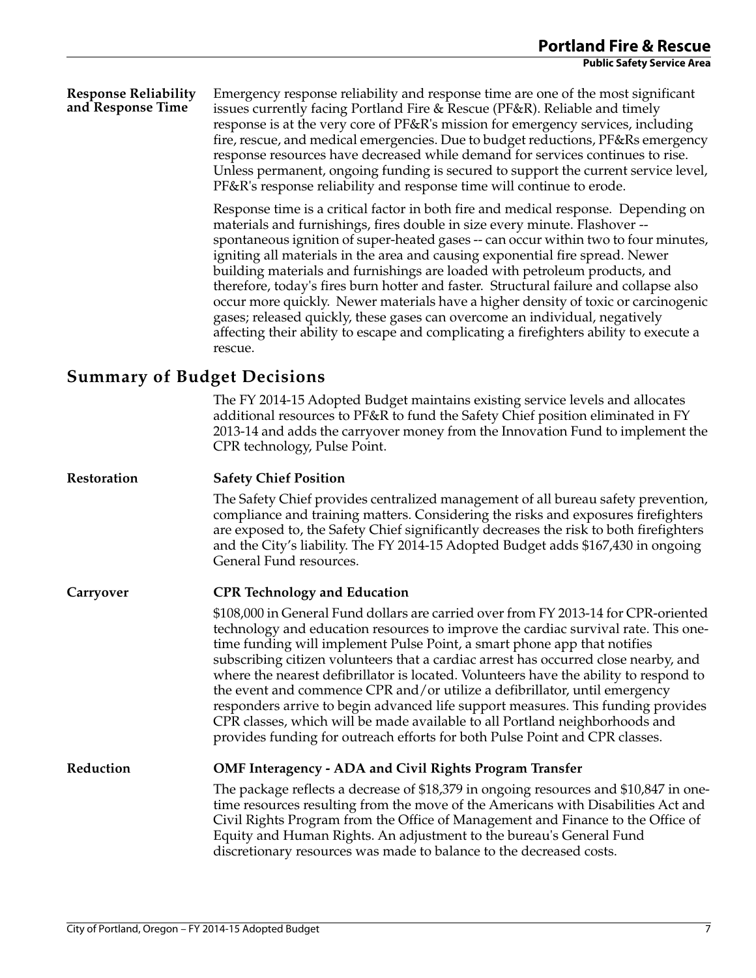#### **Response Reliability and Response Time** Emergency response reliability and response time are one of the most significant issues currently facing Portland Fire & Rescue (PF&R). Reliable and timely response is at the very core of PF&R's mission for emergency services, including fire, rescue, and medical emergencies. Due to budget reductions, PF&Rs emergency response resources have decreased while demand for services continues to rise. Unless permanent, ongoing funding is secured to support the current service level, PF&R's response reliability and response time will continue to erode.

Response time is a critical factor in both fire and medical response. Depending on materials and furnishings, fires double in size every minute. Flashover - spontaneous ignition of super-heated gases -- can occur within two to four minutes, igniting all materials in the area and causing exponential fire spread. Newer building materials and furnishings are loaded with petroleum products, and therefore, today's fires burn hotter and faster. Structural failure and collapse also occur more quickly. Newer materials have a higher density of toxic or carcinogenic gases; released quickly, these gases can overcome an individual, negatively affecting their ability to escape and complicating a firefighters ability to execute a rescue.

## **Summary of Budget Decisions**

The FY 2014-15 Adopted Budget maintains existing service levels and allocates additional resources to PF&R to fund the Safety Chief position eliminated in FY 2013-14 and adds the carryover money from the Innovation Fund to implement the CPR technology, Pulse Point.

| Restoration | <b>Safety Chief Position</b>                                                                                                                                                                                                                                                                                                                                                                                                                                                                                                                                                                                                                                                                                                                                          |
|-------------|-----------------------------------------------------------------------------------------------------------------------------------------------------------------------------------------------------------------------------------------------------------------------------------------------------------------------------------------------------------------------------------------------------------------------------------------------------------------------------------------------------------------------------------------------------------------------------------------------------------------------------------------------------------------------------------------------------------------------------------------------------------------------|
|             | The Safety Chief provides centralized management of all bureau safety prevention,<br>compliance and training matters. Considering the risks and exposures firefighters<br>are exposed to, the Safety Chief significantly decreases the risk to both firefighters<br>and the City's liability. The FY 2014-15 Adopted Budget adds \$167,430 in ongoing<br>General Fund resources.                                                                                                                                                                                                                                                                                                                                                                                      |
| Carryover   | <b>CPR Technology and Education</b>                                                                                                                                                                                                                                                                                                                                                                                                                                                                                                                                                                                                                                                                                                                                   |
|             | \$108,000 in General Fund dollars are carried over from FY 2013-14 for CPR-oriented<br>technology and education resources to improve the cardiac survival rate. This one-<br>time funding will implement Pulse Point, a smart phone app that notifies<br>subscribing citizen volunteers that a cardiac arrest has occurred close nearby, and<br>where the nearest defibrillator is located. Volunteers have the ability to respond to<br>the event and commence CPR and/or utilize a defibrillator, until emergency<br>responders arrive to begin advanced life support measures. This funding provides<br>CPR classes, which will be made available to all Portland neighborhoods and<br>provides funding for outreach efforts for both Pulse Point and CPR classes. |
| Reduction   | <b>OMF Interagency - ADA and Civil Rights Program Transfer</b>                                                                                                                                                                                                                                                                                                                                                                                                                                                                                                                                                                                                                                                                                                        |
|             | The package reflects a decrease of \$18,379 in ongoing resources and \$10,847 in one-<br>time resources resulting from the move of the Americans with Disabilities Act and                                                                                                                                                                                                                                                                                                                                                                                                                                                                                                                                                                                            |

g resources and \$10,847 in oneicans with Disabilities Act and Civil Rights Program from the Office of Management and Finance to the Office of Equity and Human Rights. An adjustment to the bureau's General Fund discretionary resources was made to balance to the decreased costs.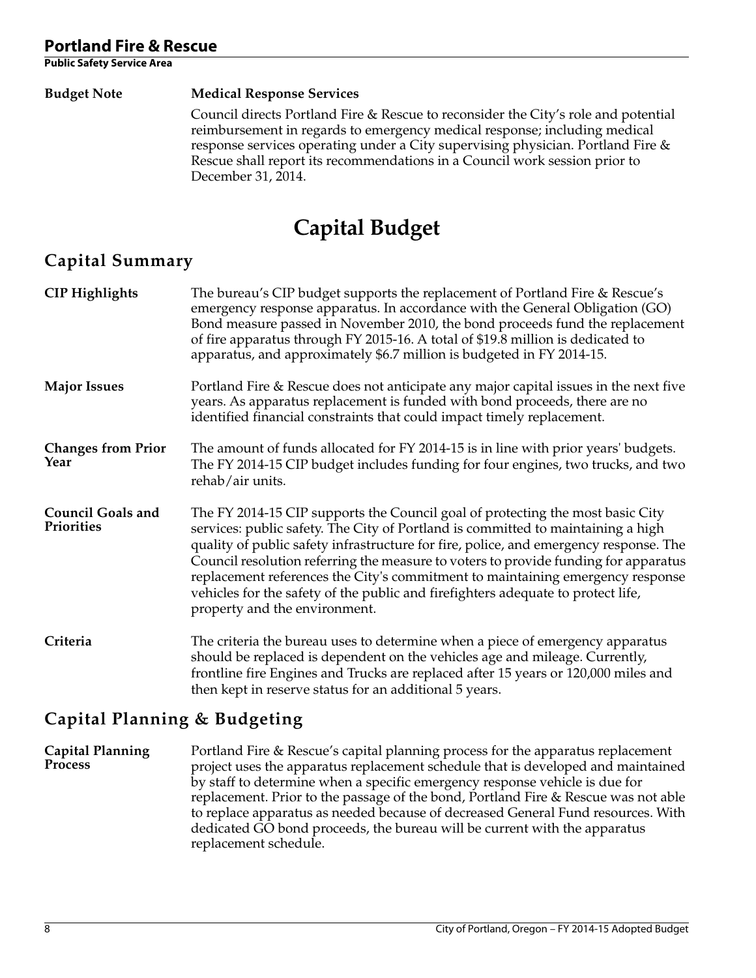**Public Safety Service Area** 

#### **Budget Note Medical Response Services**

Council directs Portland Fire & Rescue to reconsider the City's role and potential reimbursement in regards to emergency medical response; including medical response services operating under a City supervising physician. Portland Fire & Rescue shall report its recommendations in a Council work session prior to December 31, 2014.

# **Capital Budget**

# **Capital Summary**

| <b>CIP Highlights</b>                  | The bureau's CIP budget supports the replacement of Portland Fire & Rescue's<br>emergency response apparatus. In accordance with the General Obligation (GO)<br>Bond measure passed in November 2010, the bond proceeds fund the replacement<br>of fire apparatus through FY 2015-16. A total of \$19.8 million is dedicated to<br>apparatus, and approximately \$6.7 million is budgeted in FY 2014-15.                                                                                                                                                  |
|----------------------------------------|-----------------------------------------------------------------------------------------------------------------------------------------------------------------------------------------------------------------------------------------------------------------------------------------------------------------------------------------------------------------------------------------------------------------------------------------------------------------------------------------------------------------------------------------------------------|
| <b>Major Issues</b>                    | Portland Fire & Rescue does not anticipate any major capital issues in the next five<br>years. As apparatus replacement is funded with bond proceeds, there are no<br>identified financial constraints that could impact timely replacement.                                                                                                                                                                                                                                                                                                              |
| <b>Changes from Prior</b><br>Year      | The amount of funds allocated for FY 2014-15 is in line with prior years' budgets.<br>The FY 2014-15 CIP budget includes funding for four engines, two trucks, and two<br>rehab/air units.                                                                                                                                                                                                                                                                                                                                                                |
| <b>Council Goals and</b><br>Priorities | The FY 2014-15 CIP supports the Council goal of protecting the most basic City<br>services: public safety. The City of Portland is committed to maintaining a high<br>quality of public safety infrastructure for fire, police, and emergency response. The<br>Council resolution referring the measure to voters to provide funding for apparatus<br>replacement references the City's commitment to maintaining emergency response<br>vehicles for the safety of the public and firefighters adequate to protect life,<br>property and the environment. |
| Criteria                               | The criteria the bureau uses to determine when a piece of emergency apparatus<br>should be replaced is dependent on the vehicles age and mileage. Currently,<br>frontline fire Engines and Trucks are replaced after 15 years or 120,000 miles and<br>then kept in reserve status for an additional 5 years.                                                                                                                                                                                                                                              |

# **Capital Planning & Budgeting**

**Capital Planning Process** Portland Fire & Rescue's capital planning process for the apparatus replacement project uses the apparatus replacement schedule that is developed and maintained by staff to determine when a specific emergency response vehicle is due for replacement. Prior to the passage of the bond, Portland Fire & Rescue was not able to replace apparatus as needed because of decreased General Fund resources. With dedicated GO bond proceeds, the bureau will be current with the apparatus replacement schedule.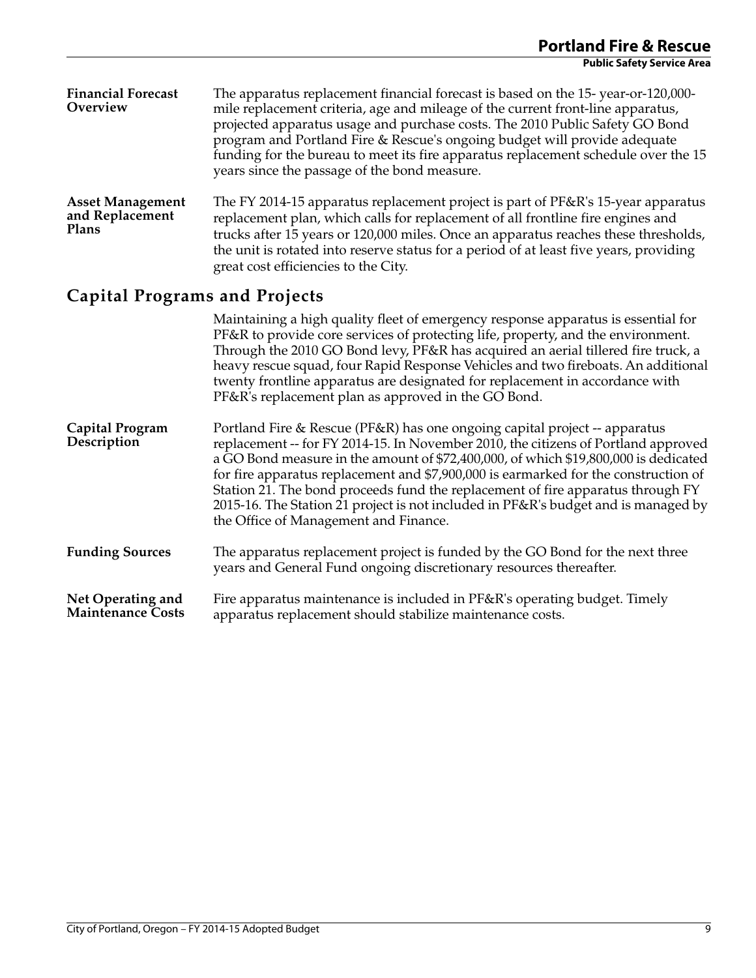| <b>Financial Forecast</b><br>Overview               | The apparatus replacement financial forecast is based on the 15-year-or-120,000-<br>mile replacement criteria, age and mileage of the current front-line apparatus,<br>projected apparatus usage and purchase costs. The 2010 Public Safety GO Bond<br>program and Portland Fire & Rescue's ongoing budget will provide adequate<br>funding for the bureau to meet its fire apparatus replacement schedule over the 15<br>years since the passage of the bond measure. |
|-----------------------------------------------------|------------------------------------------------------------------------------------------------------------------------------------------------------------------------------------------------------------------------------------------------------------------------------------------------------------------------------------------------------------------------------------------------------------------------------------------------------------------------|
| <b>Asset Management</b><br>and Replacement<br>Plans | The FY 2014-15 apparatus replacement project is part of PF&R's 15-year apparatus<br>replacement plan, which calls for replacement of all frontline fire engines and<br>trucks after 15 years or 120,000 miles. Once an apparatus reaches these thresholds,<br>the unit is rotated into reserve status for a period of at least five years, providing<br>great cost efficiencies to the City.                                                                           |
| <b>Capital Programs and Projects</b>                |                                                                                                                                                                                                                                                                                                                                                                                                                                                                        |
|                                                     | Maintaining a high quality fleet of emergency response apparatus is essential for<br>PF&R to provide core services of protecting life, property, and the environment.<br>Through the 2010 GO Bond levy, PF&R has acquired an aerial tillered fire truck, a<br>heavy rescue squad, four Rapid Response Vehicles and two fireboats. An additional<br>twenty frontline apparatus are designated for replacement in accordance with                                        |

| Capital Program<br>Description | Portland Fire & Rescue (PF&R) has one ongoing capital project -- apparatus<br>replacement -- for FY 2014-15. In November 2010, the citizens of Portland approved<br>a GO Bond measure in the amount of \$72,400,000, of which \$19,800,000 is dedicated<br>for fire apparatus replacement and \$7,900,000 is earmarked for the construction of<br>Station 21. The bond proceeds fund the replacement of fire apparatus through FY<br>2015-16. The Station 21 project is not included in PF&R's budget and is managed by<br>the Office of Management and Finance. |
|--------------------------------|------------------------------------------------------------------------------------------------------------------------------------------------------------------------------------------------------------------------------------------------------------------------------------------------------------------------------------------------------------------------------------------------------------------------------------------------------------------------------------------------------------------------------------------------------------------|
|                                |                                                                                                                                                                                                                                                                                                                                                                                                                                                                                                                                                                  |

PF&R's replacement plan as approved in the GO Bond.

- **Funding Sources** The apparatus replacement project is funded by the GO Bond for the next three years and General Fund ongoing discretionary resources thereafter.
- **Net Operating and Maintenance Costs** Fire apparatus maintenance is included in PF&R's operating budget. Timely apparatus replacement should stabilize maintenance costs.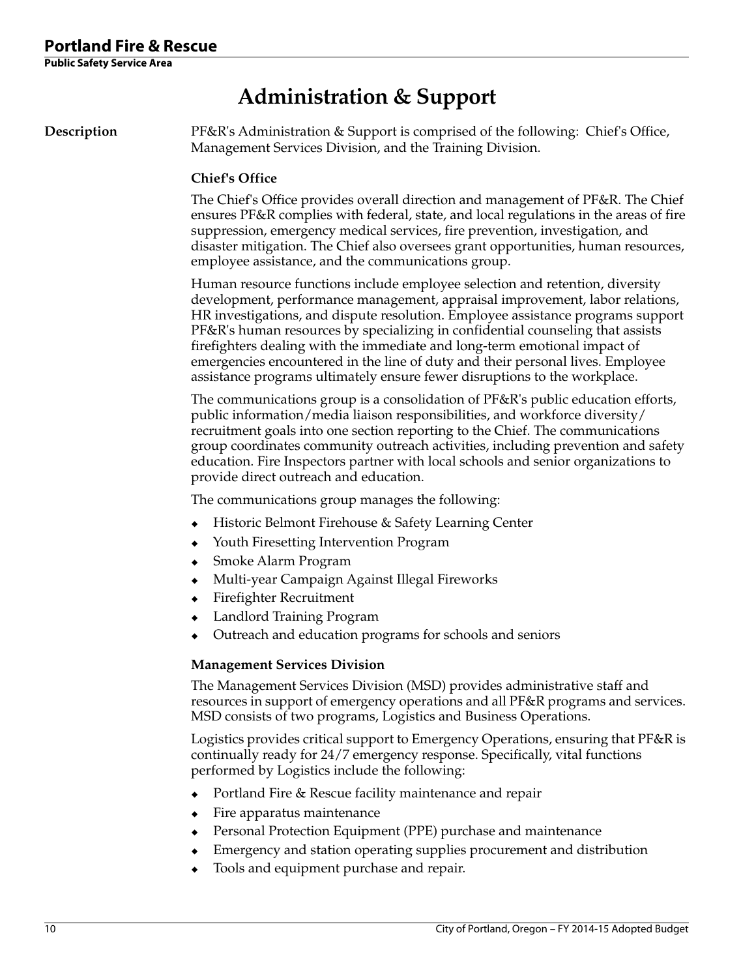# **Administration & Support**

**Description** PF&R's Administration & Support is comprised of the following: Chief's Office, Management Services Division, and the Training Division.

#### **Chief's Office**

The Chief's Office provides overall direction and management of PF&R. The Chief ensures PF&R complies with federal, state, and local regulations in the areas of fire suppression, emergency medical services, fire prevention, investigation, and disaster mitigation. The Chief also oversees grant opportunities, human resources, employee assistance, and the communications group.

Human resource functions include employee selection and retention, diversity development, performance management, appraisal improvement, labor relations, HR investigations, and dispute resolution. Employee assistance programs support PF&R's human resources by specializing in confidential counseling that assists firefighters dealing with the immediate and long-term emotional impact of emergencies encountered in the line of duty and their personal lives. Employee assistance programs ultimately ensure fewer disruptions to the workplace.

The communications group is a consolidation of PF&R's public education efforts, public information/media liaison responsibilities, and workforce diversity/ recruitment goals into one section reporting to the Chief. The communications group coordinates community outreach activities, including prevention and safety education. Fire Inspectors partner with local schools and senior organizations to provide direct outreach and education.

The communications group manages the following:

- Historic Belmont Firehouse & Safety Learning Center
- Youth Firesetting Intervention Program
- Smoke Alarm Program
- Multi-year Campaign Against Illegal Fireworks
- Firefighter Recruitment
- Landlord Training Program
- Outreach and education programs for schools and seniors

#### **Management Services Division**

The Management Services Division (MSD) provides administrative staff and resources in support of emergency operations and all PF&R programs and services. MSD consists of two programs, Logistics and Business Operations.

Logistics provides critical support to Emergency Operations, ensuring that PF&R is continually ready for 24/7 emergency response. Specifically, vital functions performed by Logistics include the following:

- Portland Fire & Rescue facility maintenance and repair
- Fire apparatus maintenance
- Personal Protection Equipment (PPE) purchase and maintenance
- Emergency and station operating supplies procurement and distribution
- Tools and equipment purchase and repair.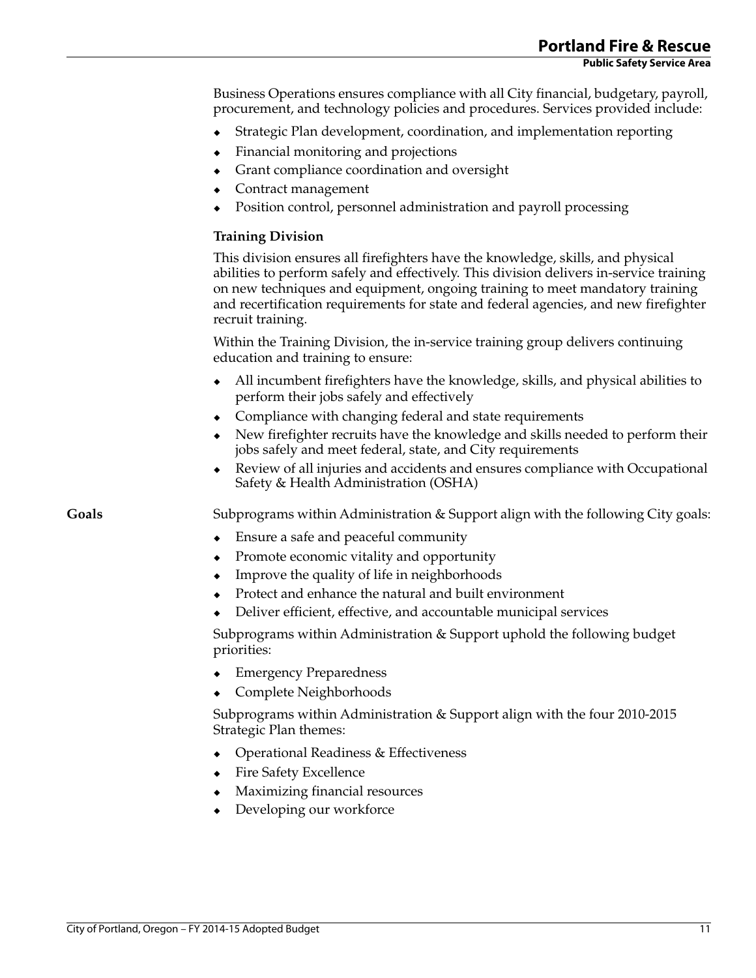Business Operations ensures compliance with all City financial, budgetary, payroll, procurement, and technology policies and procedures. Services provided include:

- Strategic Plan development, coordination, and implementation reporting
- Financial monitoring and projections
- Grant compliance coordination and oversight
- Contract management
- Position control, personnel administration and payroll processing

#### **Training Division**

This division ensures all firefighters have the knowledge, skills, and physical abilities to perform safely and effectively. This division delivers in-service training on new techniques and equipment, ongoing training to meet mandatory training and recertification requirements for state and federal agencies, and new firefighter recruit training.

Within the Training Division, the in-service training group delivers continuing education and training to ensure:

- All incumbent firefighters have the knowledge, skills, and physical abilities to perform their jobs safely and effectively
- Compliance with changing federal and state requirements
- New firefighter recruits have the knowledge and skills needed to perform their jobs safely and meet federal, state, and City requirements
- Review of all injuries and accidents and ensures compliance with Occupational Safety & Health Administration (OSHA)

**Goals** Subprograms within Administration & Support align with the following City goals:

- Ensure a safe and peaceful community
- Promote economic vitality and opportunity
- Improve the quality of life in neighborhoods
- Protect and enhance the natural and built environment
- Deliver efficient, effective, and accountable municipal services

Subprograms within Administration & Support uphold the following budget priorities:

- ◆ Emergency Preparedness
- Complete Neighborhoods

Subprograms within Administration & Support align with the four 2010-2015 Strategic Plan themes:

- Operational Readiness & Effectiveness
- Fire Safety Excellence
- Maximizing financial resources
- Developing our workforce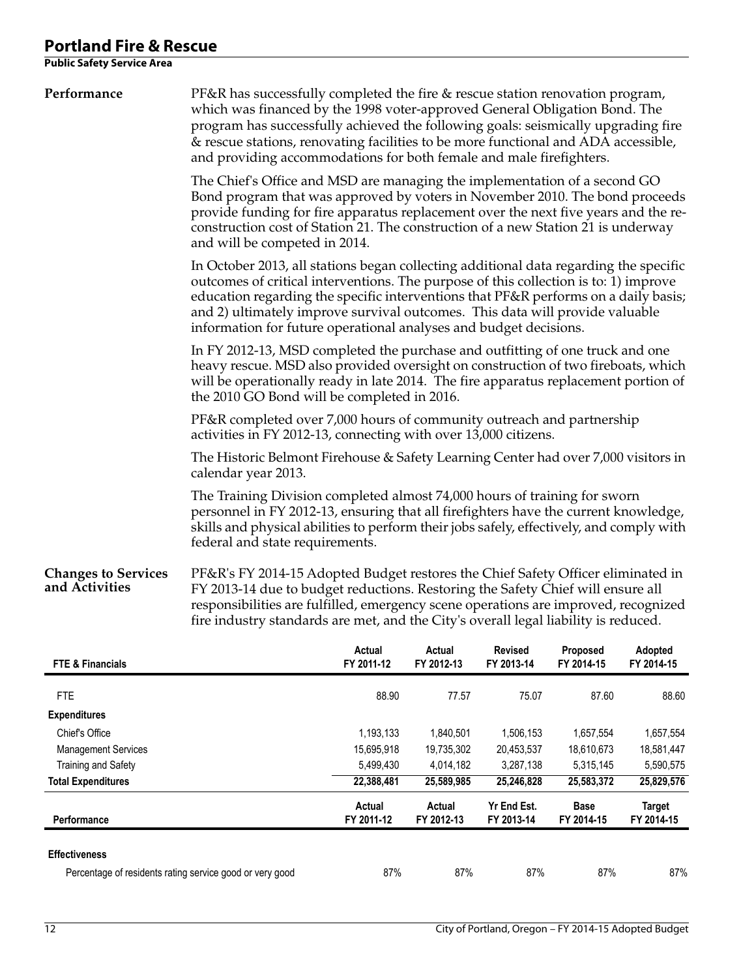**Public Safety Service Area** 

| Performance                                  | PF&R has successfully completed the fire & rescue station renovation program,<br>which was financed by the 1998 voter-approved General Obligation Bond. The<br>program has successfully achieved the following goals: seismically upgrading fire<br>& rescue stations, renovating facilities to be more functional and ADA accessible,<br>and providing accommodations for both female and male firefighters.<br>The Chief's Office and MSD are managing the implementation of a second GO<br>Bond program that was approved by voters in November 2010. The bond proceeds<br>provide funding for fire apparatus replacement over the next five years and the re-<br>construction cost of Station 21. The construction of a new Station 21 is underway<br>and will be competed in 2014. |                         |                         |                         |                         |                         |  |  |
|----------------------------------------------|-----------------------------------------------------------------------------------------------------------------------------------------------------------------------------------------------------------------------------------------------------------------------------------------------------------------------------------------------------------------------------------------------------------------------------------------------------------------------------------------------------------------------------------------------------------------------------------------------------------------------------------------------------------------------------------------------------------------------------------------------------------------------------------------|-------------------------|-------------------------|-------------------------|-------------------------|-------------------------|--|--|
|                                              |                                                                                                                                                                                                                                                                                                                                                                                                                                                                                                                                                                                                                                                                                                                                                                                         |                         |                         |                         |                         |                         |  |  |
|                                              | In October 2013, all stations began collecting additional data regarding the specific<br>outcomes of critical interventions. The purpose of this collection is to: 1) improve<br>education regarding the specific interventions that PF&R performs on a daily basis;<br>and 2) ultimately improve survival outcomes. This data will provide valuable<br>information for future operational analyses and budget decisions.                                                                                                                                                                                                                                                                                                                                                               |                         |                         |                         |                         |                         |  |  |
|                                              | In FY 2012-13, MSD completed the purchase and outfitting of one truck and one<br>heavy rescue. MSD also provided oversight on construction of two fireboats, which<br>will be operationally ready in late 2014. The fire apparatus replacement portion of<br>the 2010 GO Bond will be completed in 2016.                                                                                                                                                                                                                                                                                                                                                                                                                                                                                |                         |                         |                         |                         |                         |  |  |
|                                              | PF&R completed over 7,000 hours of community outreach and partnership<br>activities in FY 2012-13, connecting with over 13,000 citizens.                                                                                                                                                                                                                                                                                                                                                                                                                                                                                                                                                                                                                                                |                         |                         |                         |                         |                         |  |  |
|                                              | The Historic Belmont Firehouse & Safety Learning Center had over 7,000 visitors in<br>calendar year 2013.                                                                                                                                                                                                                                                                                                                                                                                                                                                                                                                                                                                                                                                                               |                         |                         |                         |                         |                         |  |  |
|                                              | The Training Division completed almost 74,000 hours of training for sworn<br>personnel in FY 2012-13, ensuring that all firefighters have the current knowledge,<br>skills and physical abilities to perform their jobs safely, effectively, and comply with<br>federal and state requirements.                                                                                                                                                                                                                                                                                                                                                                                                                                                                                         |                         |                         |                         |                         |                         |  |  |
| <b>Changes to Services</b><br>and Activities | PF&R's FY 2014-15 Adopted Budget restores the Chief Safety Officer eliminated in<br>FY 2013-14 due to budget reductions. Restoring the Safety Chief will ensure all<br>responsibilities are fulfilled, emergency scene operations are improved, recognized<br>fire industry standards are met, and the City's overall legal liability is reduced.                                                                                                                                                                                                                                                                                                                                                                                                                                       |                         |                         |                         |                         |                         |  |  |
| FTE & Financials                             |                                                                                                                                                                                                                                                                                                                                                                                                                                                                                                                                                                                                                                                                                                                                                                                         | Actual<br>FY 2011-12    | Actual<br>FY 2012-13    | Revised<br>FY 2013-14   | Proposed<br>FY 2014-15  | Adopted<br>FY 2014-15   |  |  |
| <b>FTE</b>                                   |                                                                                                                                                                                                                                                                                                                                                                                                                                                                                                                                                                                                                                                                                                                                                                                         | 88.90                   | 77.57                   | 75.07                   | 87.60                   | 88.60                   |  |  |
| <b>Expenditures</b><br>Chief's Office        |                                                                                                                                                                                                                                                                                                                                                                                                                                                                                                                                                                                                                                                                                                                                                                                         |                         |                         |                         |                         |                         |  |  |
| <b>Management Services</b>                   |                                                                                                                                                                                                                                                                                                                                                                                                                                                                                                                                                                                                                                                                                                                                                                                         | 1,193,133<br>15,695,918 | 1,840,501<br>19,735,302 | 1,506,153<br>20,453,537 | 1,657,554<br>18,610,673 | 1,657,554<br>18,581,447 |  |  |
| Training and Safety                          |                                                                                                                                                                                                                                                                                                                                                                                                                                                                                                                                                                                                                                                                                                                                                                                         | 5,499,430               | 4,014,182               | 3,287,138               | 5,315,145               | 5,590,575               |  |  |
| <b>Total Expenditures</b>                    | 22,388,481<br>25,829,576<br>25,589,985<br>25,246,828<br>25,583,372                                                                                                                                                                                                                                                                                                                                                                                                                                                                                                                                                                                                                                                                                                                      |                         |                         |                         |                         |                         |  |  |

#### **Effectiveness**

 **Performance** 

| <b>ffectiveness</b>                                      |     |     |     |     |     |
|----------------------------------------------------------|-----|-----|-----|-----|-----|
| Percentage of residents rating service good or very good | 87% | 87% | 87% | 87% | 87% |

 **Actual FY 2011-12** 

 **Actual FY 2012-13**   **Yr End Est. FY 2013-14** 

 **Base FY 2014-15** 

 **Target FY 2014-15**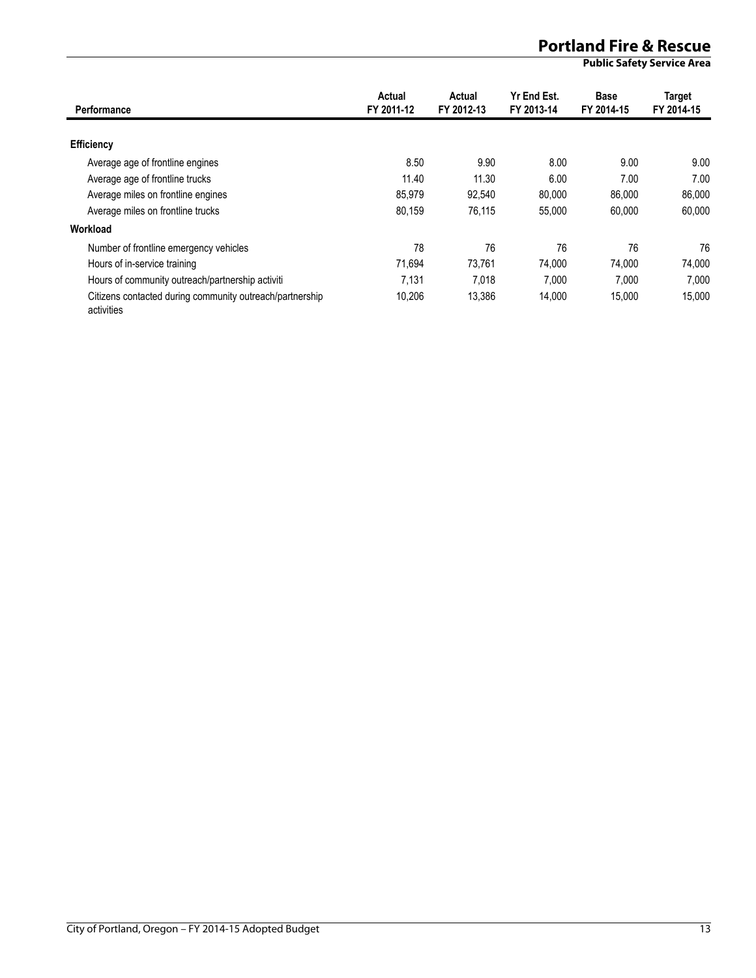| Performance                                                            | Actual<br>FY 2011-12 | Actual<br>FY 2012-13 | Yr End Est.<br>FY 2013-14 | <b>Base</b><br>FY 2014-15 | <b>Target</b><br>FY 2014-15 |
|------------------------------------------------------------------------|----------------------|----------------------|---------------------------|---------------------------|-----------------------------|
| <b>Efficiency</b>                                                      |                      |                      |                           |                           |                             |
| Average age of frontline engines                                       | 8.50                 | 9.90                 | 8.00                      | 9.00                      | 9.00                        |
| Average age of frontline trucks                                        | 11.40                | 11.30                | 6.00                      | 7.00                      | 7.00                        |
| Average miles on frontline engines                                     | 85.979               | 92.540               | 80.000                    | 86,000                    | 86,000                      |
| Average miles on frontline trucks                                      | 80.159               | 76.115               | 55.000                    | 60.000                    | 60.000                      |
| Workload                                                               |                      |                      |                           |                           |                             |
| Number of frontline emergency vehicles                                 | 78                   | 76                   | 76                        | 76                        | 76                          |
| Hours of in-service training                                           | 71.694               | 73.761               | 74.000                    | 74.000                    | 74.000                      |
| Hours of community outreach/partnership activiti                       | 7.131                | 7.018                | 7.000                     | 7.000                     | 7.000                       |
| Citizens contacted during community outreach/partnership<br>activities | 10,206               | 13,386               | 14,000                    | 15,000                    | 15,000                      |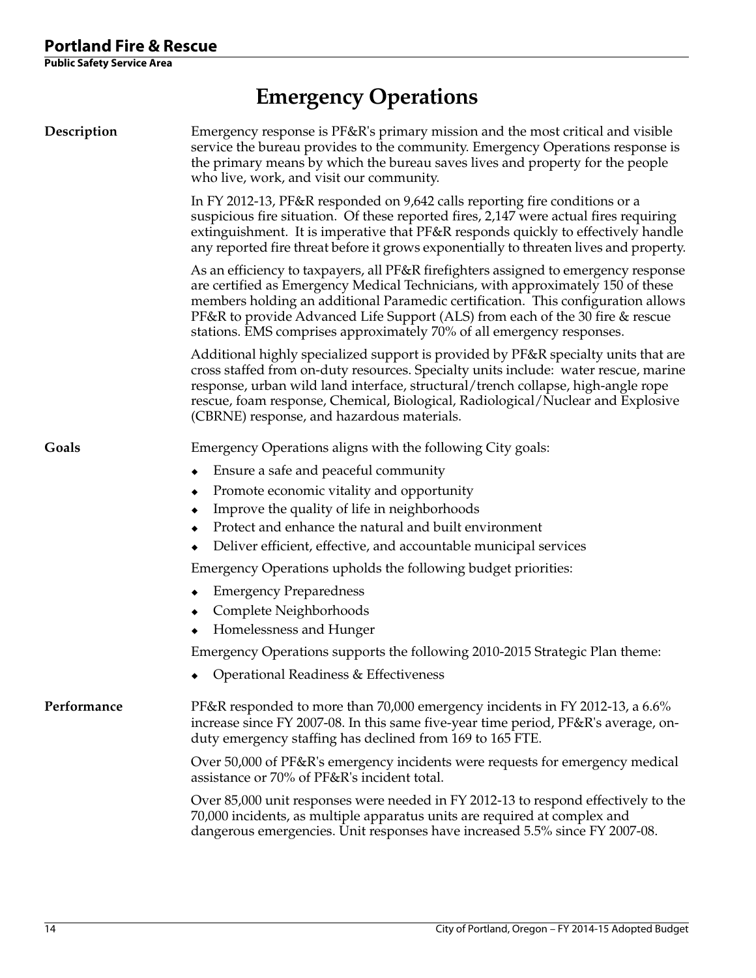# **Emergency Operations**

| Description | Emergency response is PF&R's primary mission and the most critical and visible<br>service the bureau provides to the community. Emergency Operations response is<br>the primary means by which the bureau saves lives and property for the people<br>who live, work, and visit our community.                                                                                                                        |  |  |  |  |
|-------------|----------------------------------------------------------------------------------------------------------------------------------------------------------------------------------------------------------------------------------------------------------------------------------------------------------------------------------------------------------------------------------------------------------------------|--|--|--|--|
|             | In FY 2012-13, PF&R responded on 9,642 calls reporting fire conditions or a<br>suspicious fire situation. Of these reported fires, 2,147 were actual fires requiring<br>extinguishment. It is imperative that PF&R responds quickly to effectively handle<br>any reported fire threat before it grows exponentially to threaten lives and property.                                                                  |  |  |  |  |
|             | As an efficiency to taxpayers, all PF&R firefighters assigned to emergency response<br>are certified as Emergency Medical Technicians, with approximately 150 of these<br>members holding an additional Paramedic certification. This configuration allows<br>PF&R to provide Advanced Life Support (ALS) from each of the 30 fire & rescue<br>stations. EMS comprises approximately 70% of all emergency responses. |  |  |  |  |
|             | Additional highly specialized support is provided by PF&R specialty units that are<br>cross staffed from on-duty resources. Specialty units include: water rescue, marine<br>response, urban wild land interface, structural/trench collapse, high-angle rope<br>rescue, foam response, Chemical, Biological, Radiological/Nuclear and Explosive<br>(CBRNE) response, and hazardous materials.                       |  |  |  |  |
| Goals       | Emergency Operations aligns with the following City goals:                                                                                                                                                                                                                                                                                                                                                           |  |  |  |  |
|             | Ensure a safe and peaceful community<br>٠                                                                                                                                                                                                                                                                                                                                                                            |  |  |  |  |
|             | Promote economic vitality and opportunity<br>٠                                                                                                                                                                                                                                                                                                                                                                       |  |  |  |  |
|             | Improve the quality of life in neighborhoods                                                                                                                                                                                                                                                                                                                                                                         |  |  |  |  |
|             | Protect and enhance the natural and built environment                                                                                                                                                                                                                                                                                                                                                                |  |  |  |  |
|             | Deliver efficient, effective, and accountable municipal services                                                                                                                                                                                                                                                                                                                                                     |  |  |  |  |
|             | Emergency Operations upholds the following budget priorities:                                                                                                                                                                                                                                                                                                                                                        |  |  |  |  |
|             | <b>Emergency Preparedness</b><br>٠                                                                                                                                                                                                                                                                                                                                                                                   |  |  |  |  |
|             | Complete Neighborhoods                                                                                                                                                                                                                                                                                                                                                                                               |  |  |  |  |
|             | Homelessness and Hunger                                                                                                                                                                                                                                                                                                                                                                                              |  |  |  |  |
|             | Emergency Operations supports the following 2010-2015 Strategic Plan theme:                                                                                                                                                                                                                                                                                                                                          |  |  |  |  |
|             | Operational Readiness & Effectiveness                                                                                                                                                                                                                                                                                                                                                                                |  |  |  |  |
| Performance | PF&R responded to more than 70,000 emergency incidents in FY 2012-13, a 6.6%<br>increase since FY 2007-08. In this same five-year time period, PF&R's average, on-<br>duty emergency staffing has declined from 169 to 165 FTE.                                                                                                                                                                                      |  |  |  |  |
|             | Over 50,000 of PF&R's emergency incidents were requests for emergency medical<br>assistance or 70% of PF&R's incident total.                                                                                                                                                                                                                                                                                         |  |  |  |  |
|             | Over 85,000 unit responses were needed in FY 2012-13 to respond effectively to the<br>70,000 incidents, as multiple apparatus units are required at complex and<br>dangerous emergencies. Unit responses have increased 5.5% since FY 2007-08.                                                                                                                                                                       |  |  |  |  |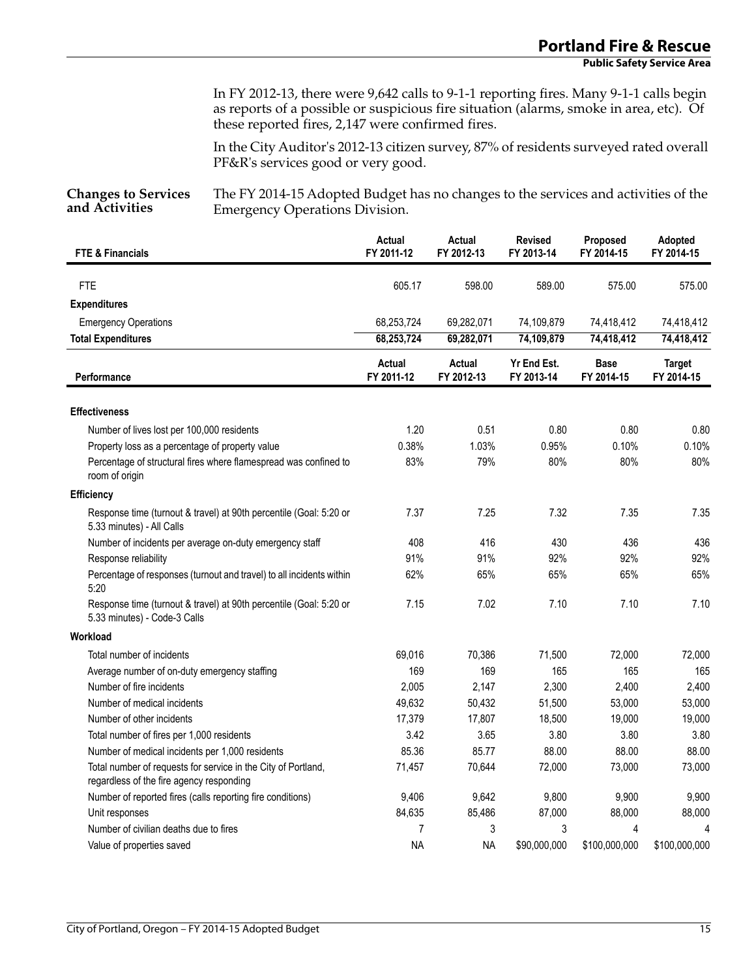In FY 2012-13, there were 9,642 calls to 9-1-1 reporting fires. Many 9-1-1 calls begin as reports of a possible or suspicious fire situation (alarms, smoke in area, etc). Of these reported fires, 2,147 were confirmed fires.

In the City Auditor's 2012-13 citizen survey, 87% of residents surveyed rated overall PF&R's services good or very good.

**Changes to Services and Activities**

The FY 2014-15 Adopted Budget has no changes to the services and activities of the Emergency Operations Division.

| <b>FTE &amp; Financials</b>                                                                               | <b>Actual</b><br>FY 2011-12 | Actual<br>FY 2012-13 | <b>Revised</b><br>FY 2013-14 | Proposed<br>FY 2014-15    | Adopted<br>FY 2014-15       |
|-----------------------------------------------------------------------------------------------------------|-----------------------------|----------------------|------------------------------|---------------------------|-----------------------------|
| <b>FTE</b>                                                                                                | 605.17                      | 598.00               | 589.00                       | 575.00                    | 575.00                      |
| <b>Expenditures</b>                                                                                       |                             |                      |                              |                           |                             |
| <b>Emergency Operations</b>                                                                               | 68,253,724                  | 69,282,071           | 74,109,879                   | 74,418,412                | 74,418,412                  |
| <b>Total Expenditures</b>                                                                                 | 68,253,724                  | 69,282,071           | 74,109,879                   | 74,418,412                | 74,418,412                  |
| Performance                                                                                               | Actual<br>FY 2011-12        | Actual<br>FY 2012-13 | Yr End Est.<br>FY 2013-14    | <b>Base</b><br>FY 2014-15 | <b>Target</b><br>FY 2014-15 |
| <b>Effectiveness</b>                                                                                      |                             |                      |                              |                           |                             |
| Number of lives lost per 100,000 residents                                                                | 1.20                        | 0.51                 | 0.80                         | 0.80                      | 0.80                        |
| Property loss as a percentage of property value                                                           | 0.38%                       | 1.03%                | 0.95%                        | 0.10%                     | $0.10\%$                    |
| Percentage of structural fires where flamespread was confined to<br>room of origin                        | 83%                         | 79%                  | 80%                          | 80%                       | 80%                         |
| Efficiency                                                                                                |                             |                      |                              |                           |                             |
| Response time (turnout & travel) at 90th percentile (Goal: 5:20 or<br>5.33 minutes) - All Calls           | 7.37                        | 7.25                 | 7.32                         | 7.35                      | 7.35                        |
| Number of incidents per average on-duty emergency staff                                                   | 408                         | 416                  | 430                          | 436                       | 436                         |
| Response reliability                                                                                      | 91%                         | 91%                  | 92%                          | 92%                       | 92%                         |
| Percentage of responses (turnout and travel) to all incidents within<br>5:20                              | 62%                         | 65%                  | 65%                          | 65%                       | 65%                         |
| Response time (turnout & travel) at 90th percentile (Goal: 5:20 or<br>5.33 minutes) - Code-3 Calls        | 7.15                        | 7.02                 | 7.10                         | 7.10                      | 7.10                        |
| Workload                                                                                                  |                             |                      |                              |                           |                             |
| Total number of incidents                                                                                 | 69,016                      | 70,386               | 71,500                       | 72,000                    | 72,000                      |
| Average number of on-duty emergency staffing                                                              | 169                         | 169                  | 165                          | 165                       | 165                         |
| Number of fire incidents                                                                                  | 2,005                       | 2,147                | 2,300                        | 2,400                     | 2,400                       |
| Number of medical incidents                                                                               | 49,632                      | 50,432               | 51,500                       | 53,000                    | 53,000                      |
| Number of other incidents                                                                                 | 17,379                      | 17,807               | 18,500                       | 19,000                    | 19,000                      |
| Total number of fires per 1,000 residents                                                                 | 3.42                        | 3.65                 | 3.80                         | 3.80                      | 3.80                        |
| Number of medical incidents per 1,000 residents                                                           | 85.36                       | 85.77                | 88.00                        | 88.00                     | 88.00                       |
| Total number of requests for service in the City of Portland,<br>regardless of the fire agency responding | 71,457                      | 70,644               | 72,000                       | 73,000                    | 73,000                      |
| Number of reported fires (calls reporting fire conditions)                                                | 9,406                       | 9,642                | 9,800                        | 9,900                     | 9,900                       |
| Unit responses                                                                                            | 84,635                      | 85,486               | 87,000                       | 88,000                    | 88,000                      |
| Number of civilian deaths due to fires                                                                    | 7                           | 3                    | 3                            | 4                         | 4                           |
| Value of properties saved                                                                                 | <b>NA</b>                   | <b>NA</b>            | \$90,000,000                 | \$100,000,000             | \$100,000,000               |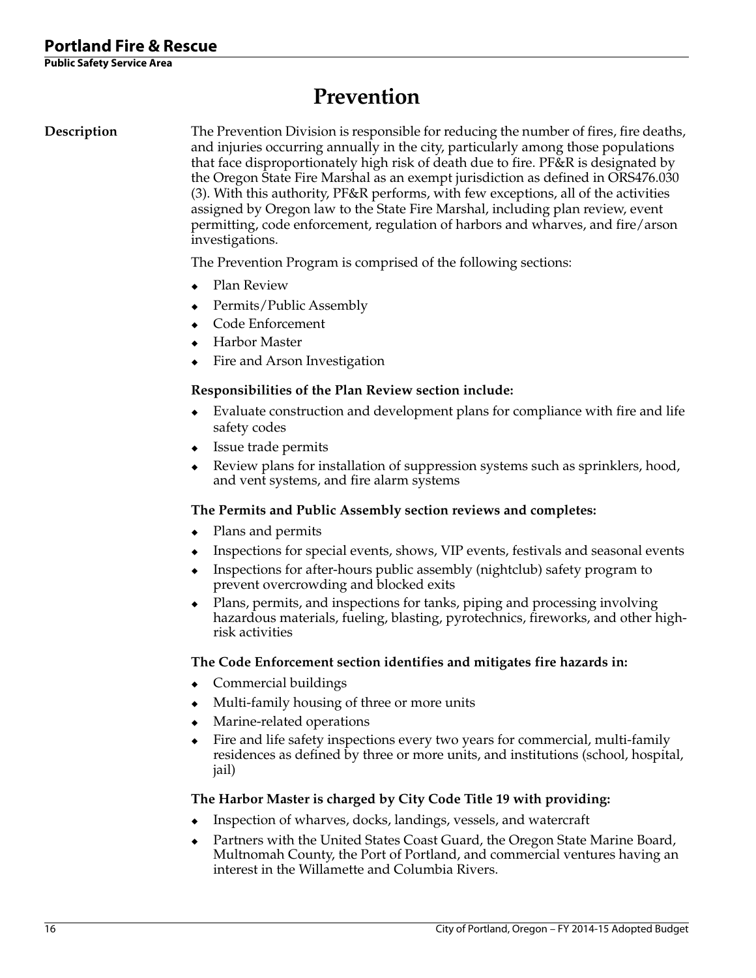# **Prevention**

**Description** The Prevention Division is responsible for reducing the number of fires, fire deaths, and injuries occurring annually in the city, particularly among those populations that face disproportionately high risk of death due to fire. PF&R is designated by the Oregon State Fire Marshal as an exempt jurisdiction as defined in ORS476.030 (3). With this authority, PF&R performs, with few exceptions, all of the activities assigned by Oregon law to the State Fire Marshal, including plan review, event permitting, code enforcement, regulation of harbors and wharves, and fire/arson investigations.

The Prevention Program is comprised of the following sections:

- Plan Review
- Permits/Public Assembly
- Code Enforcement
- Harbor Master
- Fire and Arson Investigation

#### **Responsibilities of the Plan Review section include:**

- Evaluate construction and development plans for compliance with fire and life safety codes
- Issue trade permits
- Review plans for installation of suppression systems such as sprinklers, hood, and vent systems, and fire alarm systems

#### **The Permits and Public Assembly section reviews and completes:**

- Plans and permits
- Inspections for special events, shows, VIP events, festivals and seasonal events
- Inspections for after-hours public assembly (nightclub) safety program to prevent overcrowding and blocked exits
- Plans, permits, and inspections for tanks, piping and processing involving hazardous materials, fueling, blasting, pyrotechnics, fireworks, and other highrisk activities

#### **The Code Enforcement section identifies and mitigates fire hazards in:**

- Commercial buildings
- Multi-family housing of three or more units
- Marine-related operations
- Fire and life safety inspections every two years for commercial, multi-family residences as defined by three or more units, and institutions (school, hospital, jail)

#### **The Harbor Master is charged by City Code Title 19 with providing:**

- Inspection of wharves, docks, landings, vessels, and watercraft
- Partners with the United States Coast Guard, the Oregon State Marine Board, Multnomah County, the Port of Portland, and commercial ventures having an interest in the Willamette and Columbia Rivers.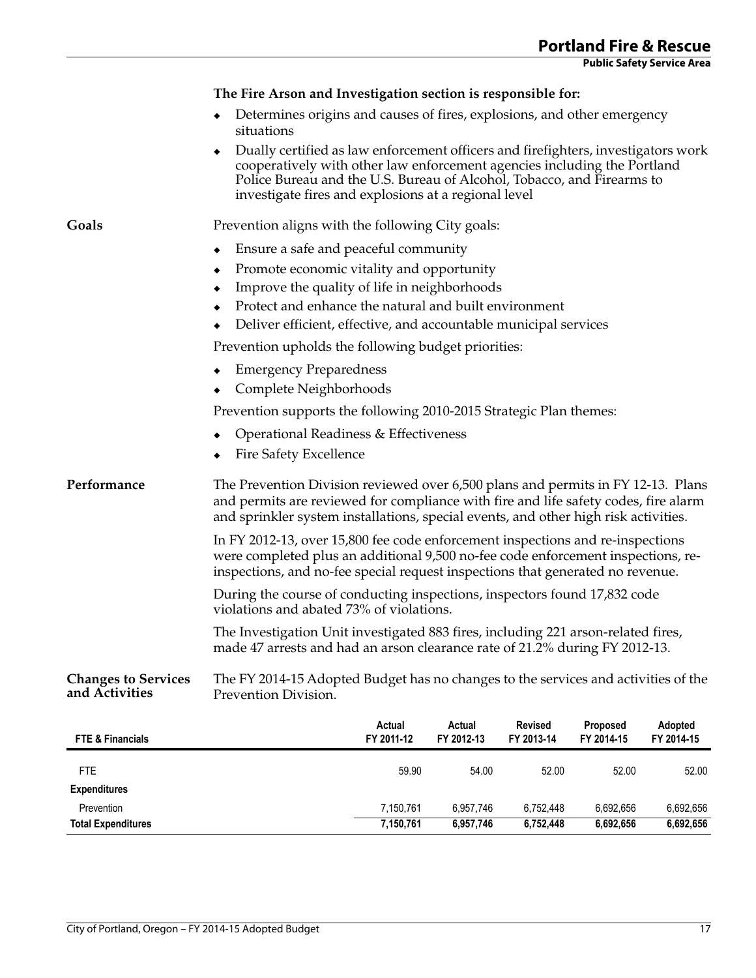|                                              | The Fire Arson and Investigation section is responsible for:                                                                                                                                                                                                                                         |                      |                      |                              |                        |                       |  |
|----------------------------------------------|------------------------------------------------------------------------------------------------------------------------------------------------------------------------------------------------------------------------------------------------------------------------------------------------------|----------------------|----------------------|------------------------------|------------------------|-----------------------|--|
|                                              | Determines origins and causes of fires, explosions, and other emergency<br>situations                                                                                                                                                                                                                |                      |                      |                              |                        |                       |  |
|                                              | Dually certified as law enforcement officers and firefighters, investigators work<br>٠<br>cooperatively with other law enforcement agencies including the Portland<br>Police Bureau and the U.S. Bureau of Alcohol, Tobacco, and Firearms to<br>investigate fires and explosions at a regional level |                      |                      |                              |                        |                       |  |
| Goals                                        | Prevention aligns with the following City goals:                                                                                                                                                                                                                                                     |                      |                      |                              |                        |                       |  |
|                                              | Ensure a safe and peaceful community<br>٠                                                                                                                                                                                                                                                            |                      |                      |                              |                        |                       |  |
|                                              | Promote economic vitality and opportunity<br>٠                                                                                                                                                                                                                                                       |                      |                      |                              |                        |                       |  |
|                                              | Improve the quality of life in neighborhoods<br>٠                                                                                                                                                                                                                                                    |                      |                      |                              |                        |                       |  |
|                                              | Protect and enhance the natural and built environment                                                                                                                                                                                                                                                |                      |                      |                              |                        |                       |  |
|                                              | Deliver efficient, effective, and accountable municipal services                                                                                                                                                                                                                                     |                      |                      |                              |                        |                       |  |
|                                              | Prevention upholds the following budget priorities:                                                                                                                                                                                                                                                  |                      |                      |                              |                        |                       |  |
|                                              | <b>Emergency Preparedness</b><br>٠                                                                                                                                                                                                                                                                   |                      |                      |                              |                        |                       |  |
|                                              | Complete Neighborhoods                                                                                                                                                                                                                                                                               |                      |                      |                              |                        |                       |  |
|                                              | Prevention supports the following 2010-2015 Strategic Plan themes:                                                                                                                                                                                                                                   |                      |                      |                              |                        |                       |  |
|                                              | Operational Readiness & Effectiveness                                                                                                                                                                                                                                                                |                      |                      |                              |                        |                       |  |
|                                              | <b>Fire Safety Excellence</b>                                                                                                                                                                                                                                                                        |                      |                      |                              |                        |                       |  |
| Performance                                  | The Prevention Division reviewed over 6,500 plans and permits in FY 12-13. Plans<br>and permits are reviewed for compliance with fire and life safety codes, fire alarm<br>and sprinkler system installations, special events, and other high risk activities.                                       |                      |                      |                              |                        |                       |  |
|                                              | In FY 2012-13, over 15,800 fee code enforcement inspections and re-inspections<br>were completed plus an additional 9,500 no-fee code enforcement inspections, re-<br>inspections, and no-fee special request inspections that generated no revenue.                                                 |                      |                      |                              |                        |                       |  |
|                                              | During the course of conducting inspections, inspectors found 17,832 code<br>violations and abated 73% of violations.                                                                                                                                                                                |                      |                      |                              |                        |                       |  |
|                                              | The Investigation Unit investigated 883 fires, including 221 arson-related fires,<br>made 47 arrests and had an arson clearance rate of 21.2% during FY 2012-13.                                                                                                                                     |                      |                      |                              |                        |                       |  |
| <b>Changes to Services</b><br>and Activities | The FY 2014-15 Adopted Budget has no changes to the services and activities of the<br>Prevention Division.                                                                                                                                                                                           |                      |                      |                              |                        |                       |  |
| <b>FTE &amp; Financials</b>                  |                                                                                                                                                                                                                                                                                                      | Actual<br>FY 2011-12 | Actual<br>FY 2012-13 | <b>Revised</b><br>FY 2013-14 | Proposed<br>FY 2014-15 | Adopted<br>FY 2014-15 |  |
| <b>FTE</b>                                   |                                                                                                                                                                                                                                                                                                      | 59.90                | 54.00                | 52.00                        | 52.00                  | 52.00                 |  |
| <b>Expenditures</b>                          |                                                                                                                                                                                                                                                                                                      |                      |                      |                              |                        |                       |  |
| Prevention                                   |                                                                                                                                                                                                                                                                                                      | 7,150,761            | 6,957,746            | 6,752,448                    | 6,692,656              | 6,692,656             |  |

**Total Expenditures 7,150,761 6,957,746 6,752,448 6,692,656 6,692,656**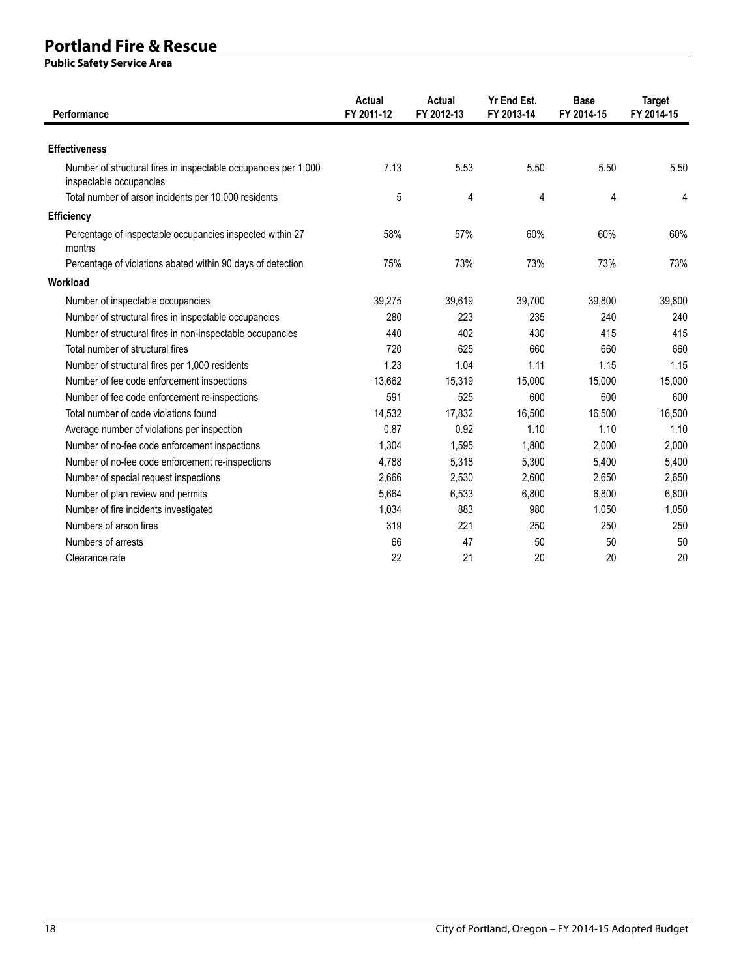| Performance                                                                                | Actual<br>FY 2011-12 | Actual<br>FY 2012-13 | Yr End Est.<br>FY 2013-14 | <b>Base</b><br>FY 2014-15 | <b>Target</b><br>FY 2014-15 |
|--------------------------------------------------------------------------------------------|----------------------|----------------------|---------------------------|---------------------------|-----------------------------|
| <b>Effectiveness</b>                                                                       |                      |                      |                           |                           |                             |
| Number of structural fires in inspectable occupancies per 1,000<br>inspectable occupancies | 7.13                 | 5.53                 | 5.50                      | 5.50                      | 5.50                        |
| Total number of arson incidents per 10,000 residents                                       | 5                    | 4                    | 4                         | 4                         | 4                           |
| <b>Efficiency</b>                                                                          |                      |                      |                           |                           |                             |
| Percentage of inspectable occupancies inspected within 27<br>months                        | 58%                  | 57%                  | 60%                       | 60%                       | 60%                         |
| Percentage of violations abated within 90 days of detection                                | 75%                  | 73%                  | 73%                       | 73%                       | 73%                         |
| Workload                                                                                   |                      |                      |                           |                           |                             |
| Number of inspectable occupancies                                                          | 39.275               | 39.619               | 39.700                    | 39.800                    | 39.800                      |
| Number of structural fires in inspectable occupancies                                      | 280                  | 223                  | 235                       | 240                       | 240                         |
| Number of structural fires in non-inspectable occupancies                                  | 440                  | 402                  | 430                       | 415                       | 415                         |
| Total number of structural fires                                                           | 720                  | 625                  | 660                       | 660                       | 660                         |
| Number of structural fires per 1,000 residents                                             | 1.23                 | 1.04                 | 1.11                      | 1.15                      | 1.15                        |
| Number of fee code enforcement inspections                                                 | 13,662               | 15,319               | 15,000                    | 15,000                    | 15,000                      |
| Number of fee code enforcement re-inspections                                              | 591                  | 525                  | 600                       | 600                       | 600                         |
| Total number of code violations found                                                      | 14,532               | 17,832               | 16,500                    | 16,500                    | 16,500                      |
| Average number of violations per inspection                                                | 0.87                 | 0.92                 | 1.10                      | 1.10                      | 1.10                        |
| Number of no-fee code enforcement inspections                                              | 1,304                | 1,595                | 1,800                     | 2,000                     | 2,000                       |
| Number of no-fee code enforcement re-inspections                                           | 4.788                | 5.318                | 5,300                     | 5,400                     | 5.400                       |
| Number of special request inspections                                                      | 2,666                | 2,530                | 2,600                     | 2,650                     | 2,650                       |
| Number of plan review and permits                                                          | 5,664                | 6,533                | 6,800                     | 6,800                     | 6,800                       |
| Number of fire incidents investigated                                                      | 1,034                | 883                  | 980                       | 1,050                     | 1,050                       |
| Numbers of arson fires                                                                     | 319                  | 221                  | 250                       | 250                       | 250                         |
| Numbers of arrests                                                                         | 66                   | 47                   | 50                        | 50                        | 50                          |
| Clearance rate                                                                             | 22                   | 21                   | 20                        | 20                        | 20                          |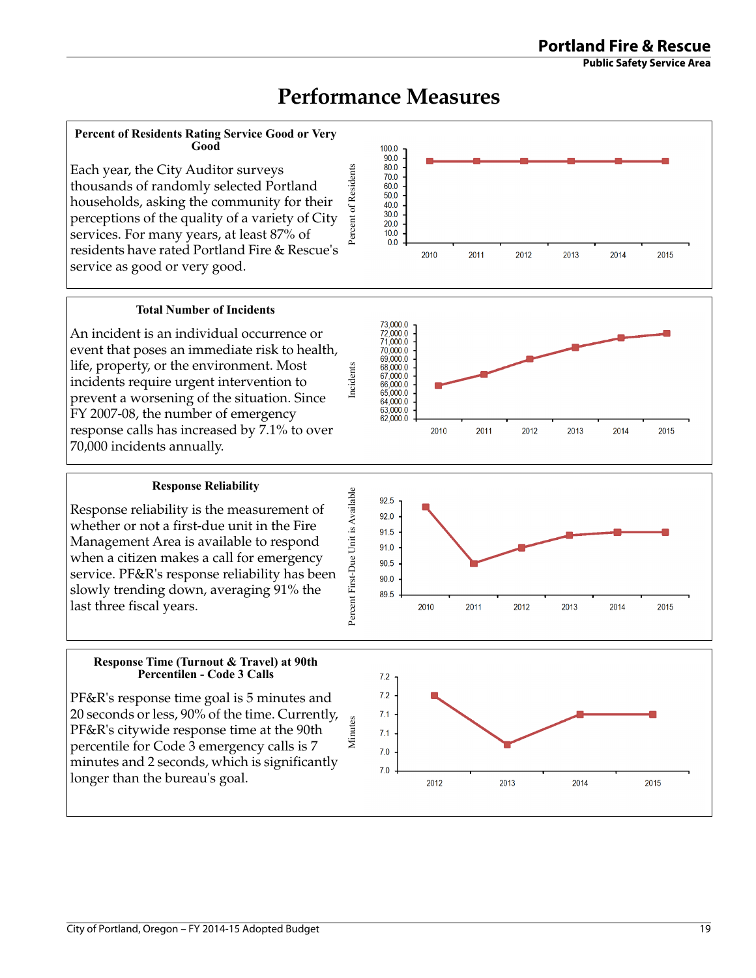Minutes





2012

2013

#### **Total Number of Incidents**

**Percent of Residents Rating Service Good or Very Good**

Each year, the City Auditor surveys thousands of randomly selected Portland households, asking the community for their perceptions of the quality of a variety of City services. For many years, at least 87% of residents have rated Portland Fire & Rescue's

service as good or very good.

An incident is an individual occurrence or event that poses an immediate risk to health, life, property, or the environment. Most incidents require urgent intervention to prevent a worsening of the situation. Since FY 2007-08, the number of emergency response calls has increased by 7.1% to over 70,000 incidents annually.

#### **Response Reliability**

Response reliability is the measurement of whether or not a first-due unit in the Fire Management Area is available to respond when a citizen makes a call for emergency service. PF&R's response reliability has been slowly trending down, averaging 91% the last three fiscal years.

#### **Response Time (Turnout & Travel) at 90th Percentilen - Code 3 Calls**

PF&R's response time goal is 5 minutes and 20 seconds or less, 90% of the time. Currently, PF&R's citywide response time at the 90th percentile for Code 3 emergency calls is 7 minutes and 2 seconds, which is significantly longer than the bureau's goal.

 $100.0$  $\frac{100.0}{90.0}$ 80.0

70.0 60.0 50.0 40.0  $30.0$  $200$  $100$  $0<sub>0</sub>$ 

Percent of Residents

Percent of Residents

Incidents



2014

2015

2010

2011



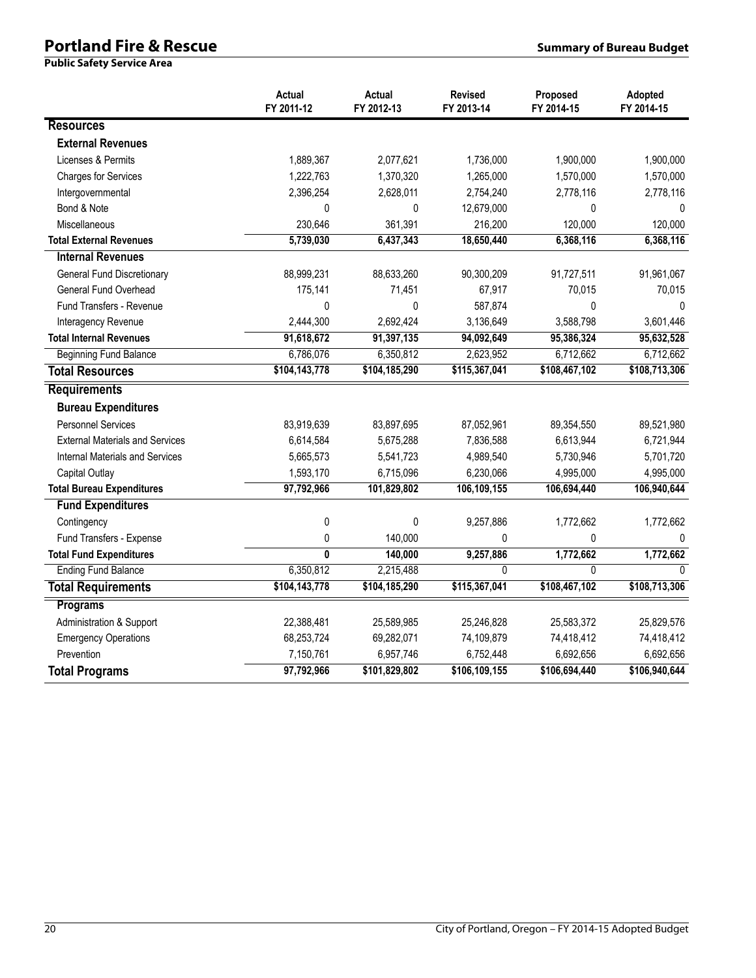# **Portland Fire & Rescue Summary of Bureau Budget Summary of Bureau Budget**

|                                        | Actual<br>FY 2011-12 | Actual<br>FY 2012-13 | <b>Revised</b><br>FY 2013-14 | Proposed<br>FY 2014-15 | Adopted<br>FY 2014-15 |
|----------------------------------------|----------------------|----------------------|------------------------------|------------------------|-----------------------|
| <b>Resources</b>                       |                      |                      |                              |                        |                       |
| <b>External Revenues</b>               |                      |                      |                              |                        |                       |
| Licenses & Permits                     | 1,889,367            | 2,077,621            | 1,736,000                    | 1,900,000              | 1,900,000             |
| <b>Charges for Services</b>            | 1,222,763            | 1,370,320            | 1,265,000                    | 1,570,000              | 1,570,000             |
| Intergovernmental                      | 2,396,254            | 2,628,011            | 2,754,240                    | 2,778,116              | 2,778,116             |
| Bond & Note                            | 0                    | 0                    | 12,679,000                   | 0                      | 0                     |
| Miscellaneous                          | 230,646              | 361,391              | 216,200                      | 120,000                | 120,000               |
| <b>Total External Revenues</b>         | 5,739,030            | 6,437,343            | 18,650,440                   | 6,368,116              | 6,368,116             |
| <b>Internal Revenues</b>               |                      |                      |                              |                        |                       |
| <b>General Fund Discretionary</b>      | 88,999,231           | 88,633,260           | 90,300,209                   | 91,727,511             | 91,961,067            |
| General Fund Overhead                  | 175,141              | 71,451               | 67,917                       | 70,015                 | 70,015                |
| <b>Fund Transfers - Revenue</b>        | 0                    | 0                    | 587,874                      | $\mathbf 0$            | $\mathbf{0}$          |
| Interagency Revenue                    | 2,444,300            | 2,692,424            | 3,136,649                    | 3,588,798              | 3,601,446             |
| <b>Total Internal Revenues</b>         | 91,618,672           | 91,397,135           | 94,092,649                   | 95,386,324             | 95,632,528            |
| <b>Beginning Fund Balance</b>          | 6,786,076            | 6,350,812            | 2,623,952                    | 6,712,662              | 6,712,662             |
| <b>Total Resources</b>                 | \$104,143,778        | \$104,185,290        | \$115,367,041                | \$108,467,102          | \$108,713,306         |
| <b>Requirements</b>                    |                      |                      |                              |                        |                       |
| <b>Bureau Expenditures</b>             |                      |                      |                              |                        |                       |
| <b>Personnel Services</b>              | 83,919,639           | 83,897,695           | 87,052,961                   | 89,354,550             | 89,521,980            |
| <b>External Materials and Services</b> | 6,614,584            | 5,675,288            | 7,836,588                    | 6,613,944              | 6,721,944             |
| <b>Internal Materials and Services</b> | 5,665,573            | 5,541,723            | 4,989,540                    | 5,730,946              | 5,701,720             |
| Capital Outlay                         | 1,593,170            | 6,715,096            | 6,230,066                    | 4,995,000              | 4,995,000             |
| <b>Total Bureau Expenditures</b>       | 97,792,966           | 101,829,802          | 106,109,155                  | 106,694,440            | 106,940,644           |
| <b>Fund Expenditures</b>               |                      |                      |                              |                        |                       |
| Contingency                            | $\mathbf 0$          | 0                    | 9,257,886                    | 1,772,662              | 1,772,662             |
| Fund Transfers - Expense               | 0                    | 140,000              | 0                            | $\mathbf 0$            | $\Omega$              |
| <b>Total Fund Expenditures</b>         | $\mathbf{0}$         | 140,000              | 9,257,886                    | 1,772,662              | 1,772,662             |
| <b>Ending Fund Balance</b>             | 6,350,812            | 2,215,488            | $\Omega$                     | $\overline{0}$         | $\cap$                |
| <b>Total Requirements</b>              | \$104,143,778        | \$104,185,290        | \$115,367,041                | \$108,467,102          | \$108,713,306         |
| Programs                               |                      |                      |                              |                        |                       |
| Administration & Support               | 22,388,481           | 25,589,985           | 25,246,828                   | 25,583,372             | 25,829,576            |
| <b>Emergency Operations</b>            | 68,253,724           | 69,282,071           | 74,109,879                   | 74,418,412             | 74,418,412            |
| Prevention                             | 7,150,761            | 6,957,746            | 6,752,448                    | 6,692,656              | 6,692,656             |
| <b>Total Programs</b>                  | 97,792,966           | \$101,829,802        | \$106,109,155                | \$106,694,440          | \$106,940,644         |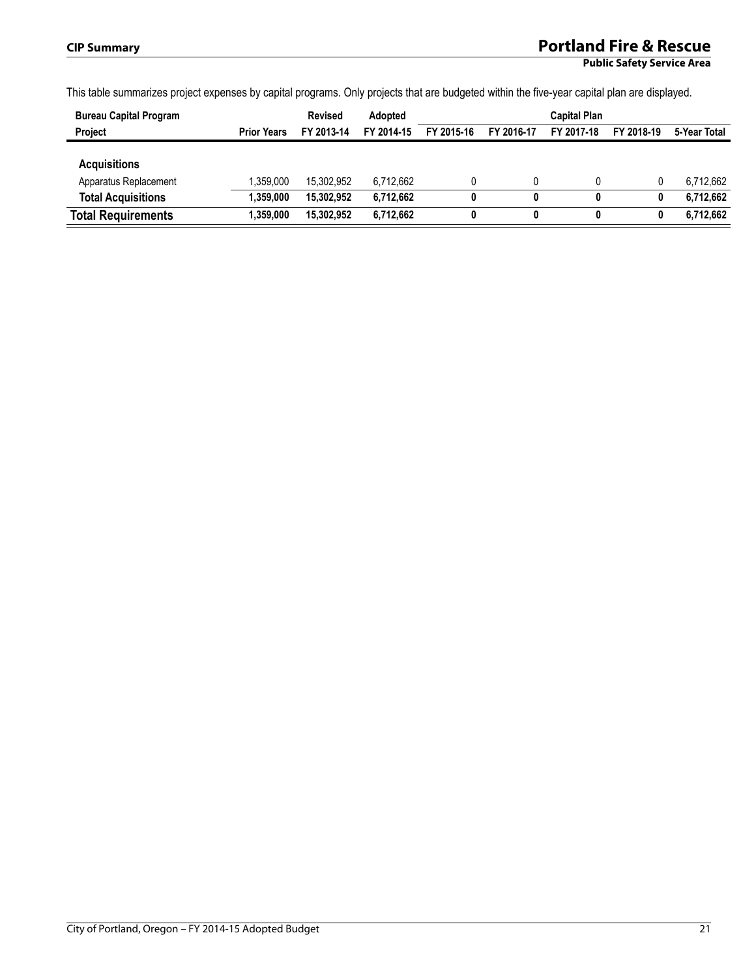# **CIP Summary Portland Fire & Rescue**

**Public Safety Service Area**

This table summarizes project expenses by capital programs. Only projects that are budgeted within the five-year capital plan are displayed.

| <b>Bureau Capital Program</b>                |                    | <b>Revised</b> | Adopted    | <b>Capital Plan</b> |            |            |            |              |  |  |
|----------------------------------------------|--------------------|----------------|------------|---------------------|------------|------------|------------|--------------|--|--|
| Project                                      | <b>Prior Years</b> | FY 2013-14     | FY 2014-15 | FY 2015-16          | FY 2016-17 | FY 2017-18 | FY 2018-19 | 5-Year Total |  |  |
| <b>Acquisitions</b><br>Apparatus Replacement | 1.359.000          | 15.302.952     | 6.712.662  |                     |            |            |            | 6.712.662    |  |  |
| <b>Total Acquisitions</b>                    | 1,359,000          | 15.302.952     | 6.712.662  | 0                   | 0          | 0          |            | 6,712,662    |  |  |
| <b>Total Requirements</b>                    | 1,359,000          | 15,302,952     | 6,712,662  | 0                   | 0          | 0          |            | 6,712,662    |  |  |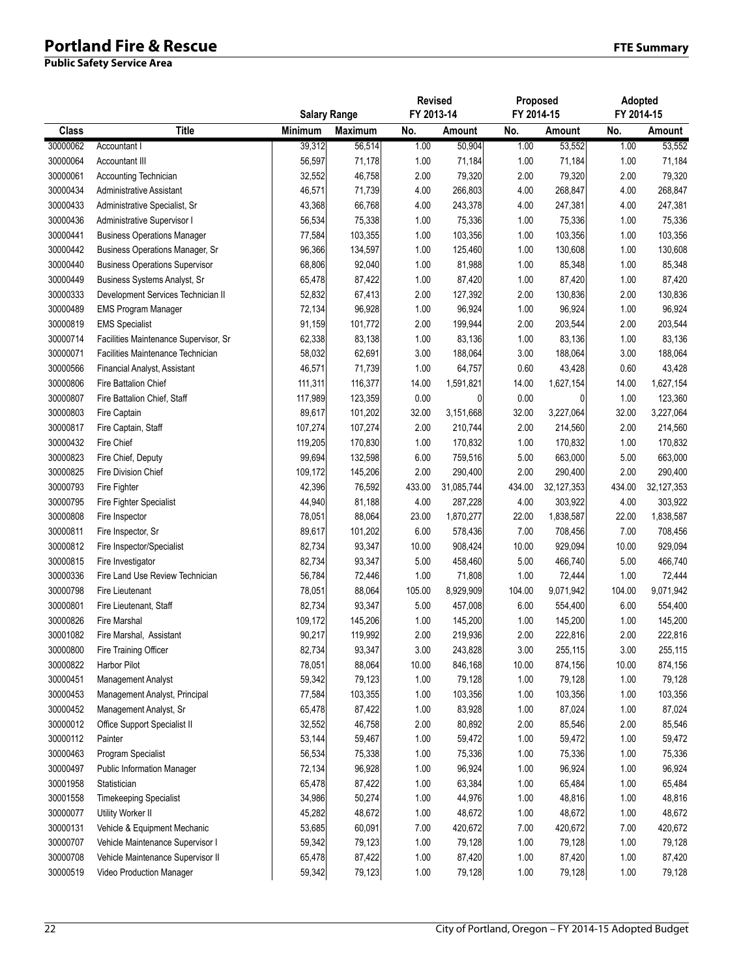# **Portland Fire & Rescue FTE Summary**

|              |                                        | <b>Salary Range</b> |                | <b>Revised</b><br>FY 2013-14 |            | Proposed<br>FY 2014-15 |            | Adopted<br>FY 2014-15 |              |
|--------------|----------------------------------------|---------------------|----------------|------------------------------|------------|------------------------|------------|-----------------------|--------------|
| <b>Class</b> | <b>Title</b>                           | Minimum             | <b>Maximum</b> | No.                          | Amount     | No.                    | Amount     | No.                   | Amount       |
| 30000062     | Accountant I                           | 39,312              | 56,514         | 1.00                         | 50,904     | 1.00                   | 53,552     | 1.00                  | 53,552       |
| 30000064     | Accountant III                         | 56,597              | 71,178         | 1.00                         | 71,184     | 1.00                   | 71,184     | 1.00                  | 71,184       |
| 30000061     | Accounting Technician                  | 32,552              | 46,758         | 2.00                         | 79,320     | 2.00                   | 79,320     | 2.00                  | 79,320       |
| 30000434     | Administrative Assistant               | 46,571              | 71,739         | 4.00                         | 266,803    | 4.00                   | 268,847    | 4.00                  | 268,847      |
| 30000433     | Administrative Specialist, Sr          | 43,368              | 66,768         | 4.00                         | 243,378    | 4.00                   | 247,381    | 4.00                  | 247,381      |
| 30000436     | Administrative Supervisor I            | 56,534              | 75,338         | 1.00                         | 75,336     | 1.00                   | 75,336     | 1.00                  | 75,336       |
| 30000441     | <b>Business Operations Manager</b>     | 77,584              | 103,355        | 1.00                         | 103,356    | 1.00                   | 103,356    | 1.00                  | 103,356      |
| 30000442     | <b>Business Operations Manager, Sr</b> | 96,366              | 134,597        | 1.00                         | 125,460    | 1.00                   | 130,608    | 1.00                  | 130,608      |
| 30000440     | <b>Business Operations Supervisor</b>  | 68,806              | 92,040         | 1.00                         | 81,988     | 1.00                   | 85,348     | 1.00                  | 85,348       |
| 30000449     | Business Systems Analyst, Sr           | 65,478              | 87,422         | 1.00                         | 87,420     | 1.00                   | 87,420     | 1.00                  | 87,420       |
| 30000333     | Development Services Technician II     | 52,832              | 67,413         | 2.00                         | 127,392    | 2.00                   | 130,836    | 2.00                  | 130,836      |
| 30000489     | <b>EMS Program Manager</b>             | 72,134              | 96,928         | 1.00                         | 96,924     | 1.00                   | 96,924     | 1.00                  | 96,924       |
| 30000819     | <b>EMS Specialist</b>                  | 91,159              | 101,772        | 2.00                         | 199,944    | 2.00                   | 203,544    | 2.00                  | 203,544      |
| 30000714     | Facilities Maintenance Supervisor, Sr  | 62,338              | 83,138         | 1.00                         | 83,136     | 1.00                   | 83,136     | 1.00                  | 83,136       |
| 30000071     | Facilities Maintenance Technician      | 58,032              | 62,691         | 3.00                         | 188,064    | 3.00                   | 188,064    | 3.00                  | 188,064      |
| 30000566     | Financial Analyst, Assistant           | 46,571              | 71,739         | 1.00                         | 64,757     | 0.60                   | 43,428     | 0.60                  | 43,428       |
| 30000806     | Fire Battalion Chief                   | 111,311             | 116,377        | 14.00                        | 1,591,821  | 14.00                  | 1,627,154  | 14.00                 | 1,627,154    |
| 30000807     | Fire Battalion Chief, Staff            | 117,989             | 123,359        | 0.00                         | 0          | 0.00                   | 0          | 1.00                  | 123,360      |
| 30000803     | Fire Captain                           | 89,617              | 101,202        | 32.00                        | 3,151,668  | 32.00                  | 3,227,064  | 32.00                 | 3,227,064    |
| 30000817     | Fire Captain, Staff                    | 107,274             | 107,274        | 2.00                         | 210,744    | 2.00                   | 214,560    | 2.00                  | 214,560      |
| 30000432     | Fire Chief                             | 119,205             | 170,830        | 1.00                         | 170,832    | 1.00                   | 170,832    | 1.00                  | 170,832      |
| 30000823     | Fire Chief, Deputy                     | 99,694              | 132,598        | 6.00                         | 759,516    | 5.00                   | 663,000    | 5.00                  | 663,000      |
| 30000825     | <b>Fire Division Chief</b>             | 109,172             | 145,206        | 2.00                         | 290,400    | 2.00                   | 290,400    | 2.00                  | 290,400      |
| 30000793     | Fire Fighter                           | 42,396              | 76,592         | 433.00                       | 31,085,744 | 434.00                 | 32,127,353 | 434.00                | 32, 127, 353 |
| 30000795     | Fire Fighter Specialist                | 44,940              | 81,188         | 4.00                         | 287,228    | 4.00                   | 303,922    | 4.00                  | 303,922      |
| 30000808     | Fire Inspector                         | 78,051              | 88,064         | 23.00                        | 1,870,277  | 22.00                  | 1,838,587  | 22.00                 | 1,838,587    |
| 30000811     | Fire Inspector, Sr                     | 89,617              | 101,202        | 6.00                         | 578,436    | 7.00                   | 708,456    | 7.00                  | 708,456      |
| 30000812     | Fire Inspector/Specialist              | 82,734              | 93,347         | 10.00                        | 908,424    | 10.00                  | 929,094    | 10.00                 | 929,094      |
| 30000815     | Fire Investigator                      | 82,734              | 93,347         | 5.00                         | 458,460    | 5.00                   | 466,740    | 5.00                  | 466,740      |
| 30000336     | Fire Land Use Review Technician        | 56,784              | 72,446         | 1.00                         | 71,808     | 1.00                   | 72,444     | 1.00                  | 72,444       |
| 30000798     | Fire Lieutenant                        | 78,051              | 88,064         | 105.00                       | 8,929,909  | 104.00                 | 9,071,942  | 104.00                | 9,071,942    |
| 30000801     | Fire Lieutenant, Staff                 | 82,734              | 93,347         | 5.00                         | 457,008    | 6.00                   | 554,400    | 6.00                  | 554,400      |
| 30000826     | Fire Marshal                           | 109,172             | 145,206        | 1.00                         | 145,200    | 1.00                   | 145,200    | 1.00                  | 145,200      |
| 30001082     | Fire Marshal, Assistant                | 90,217              | 119,992        | 2.00                         | 219,936    | 2.00                   | 222,816    | 2.00                  | 222,816      |
| 30000800     | Fire Training Officer                  | 82,734              | 93,347         | 3.00                         | 243,828    | 3.00                   | 255,115    | 3.00                  | 255,115      |
| 30000822     | <b>Harbor Pilot</b>                    | 78,051              | 88,064         | 10.00                        | 846,168    | 10.00                  | 874,156    | 10.00                 | 874,156      |
| 30000451     | Management Analyst                     | 59,342              | 79,123         | 1.00                         | 79,128     | 1.00                   | 79,128     | 1.00                  | 79,128       |
| 30000453     | Management Analyst, Principal          | 77,584              | 103,355        | 1.00                         | 103,356    | 1.00                   | 103,356    | 1.00                  | 103,356      |
| 30000452     | Management Analyst, Sr                 | 65,478              | 87,422         | 1.00                         | 83,928     | 1.00                   | 87,024     | 1.00                  | 87,024       |
| 30000012     | Office Support Specialist II           | 32,552              | 46,758         | 2.00                         | 80,892     | 2.00                   | 85,546     | 2.00                  | 85,546       |
| 30000112     | Painter                                | 53,144              | 59,467         | 1.00                         | 59,472     | 1.00                   | 59,472     | 1.00                  | 59,472       |
| 30000463     | Program Specialist                     | 56,534              | 75,338         | 1.00                         | 75,336     | 1.00                   | 75,336     | 1.00                  | 75,336       |
| 30000497     | Public Information Manager             | 72,134              | 96,928         | 1.00                         | 96,924     | 1.00                   | 96,924     | 1.00                  | 96,924       |
| 30001958     | Statistician                           | 65,478              | 87,422         | 1.00                         | 63,384     | 1.00                   | 65,484     | 1.00                  | 65,484       |
| 30001558     | <b>Timekeeping Specialist</b>          | 34,986              | 50,274         | 1.00                         | 44,976     | 1.00                   | 48,816     | 1.00                  | 48,816       |
| 30000077     | Utility Worker II                      | 45,282              | 48,672         | 1.00                         | 48,672     | 1.00                   | 48,672     | 1.00                  | 48,672       |
| 30000131     | Vehicle & Equipment Mechanic           | 53,685              | 60,091         | 7.00                         | 420,672    | 7.00                   | 420,672    | 7.00                  | 420,672      |
| 30000707     | Vehicle Maintenance Supervisor I       | 59,342              | 79,123         | 1.00                         | 79,128     | 1.00                   | 79,128     | 1.00                  | 79,128       |
| 30000708     | Vehicle Maintenance Supervisor II      | 65,478              | 87,422         | 1.00                         | 87,420     | 1.00                   | 87,420     | 1.00                  | 87,420       |
| 30000519     | Video Production Manager               | 59,342              | 79,123         | 1.00                         | 79,128     | $1.00$                 | 79,128     | 1.00                  | 79,128       |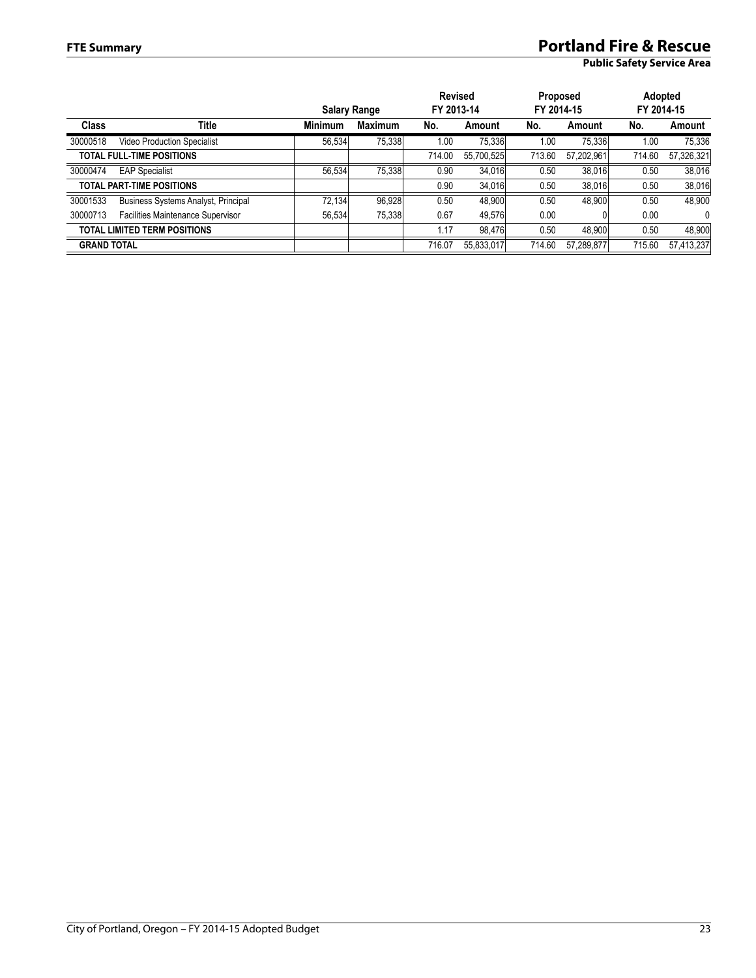# **FTE Summary Portland Fire & Rescue**

|                    |                                     | <b>Salary Range</b> |                | <b>Revised</b><br>FY 2013-14 |            | <b>Proposed</b><br>FY 2014-15 |            | Adopted<br>FY 2014-15 |              |
|--------------------|-------------------------------------|---------------------|----------------|------------------------------|------------|-------------------------------|------------|-----------------------|--------------|
| <b>Class</b>       | Title                               | <b>Minimum</b>      | <b>Maximum</b> | No.                          | Amount     | No.                           | Amount     | No.                   | Amount       |
| 30000518           | <b>Video Production Specialist</b>  | 56,534              | 75.338         | 1.00                         | 75,336     | 1.00                          | 75,336     | 1.00                  | 75,336       |
|                    | <b>TOTAL FULL-TIME POSITIONS</b>    |                     |                | 714.00                       | 55.700.525 | 713.60                        | 57.202.961 | 714.60                | 57,326,321   |
| 30000474           | <b>EAP Specialist</b>               | 56,534              | 75.338         | 0.90                         | 34,016     | 0.50                          | 38,016     | 0.50                  | 38,016       |
|                    | <b>TOTAL PART-TIME POSITIONS</b>    |                     |                | 0.90                         | 34,016     | 0.50                          | 38,016     | 0.50                  | 38,016       |
| 30001533           | Business Systems Analyst, Principal | 72,134              | 96,928         | 0.50                         | 48,900     | 0.50                          | 48,900     | 0.50                  | 48,900       |
| 30000713           | Facilities Maintenance Supervisor   | 56,534              | 75.338         | 0.67                         | 49.576     | 0.00                          |            | 0.00                  | $\mathbf{0}$ |
|                    | <b>TOTAL LIMITED TERM POSITIONS</b> |                     |                | 1.17                         | 98.476     | 0.50                          | 48,900     | 0.50                  | 48,900       |
| <b>GRAND TOTAL</b> |                                     |                     |                | 716.07                       | 55,833,017 | 714.60                        | 57,289,877 | 715.60                | 57,413,237   |